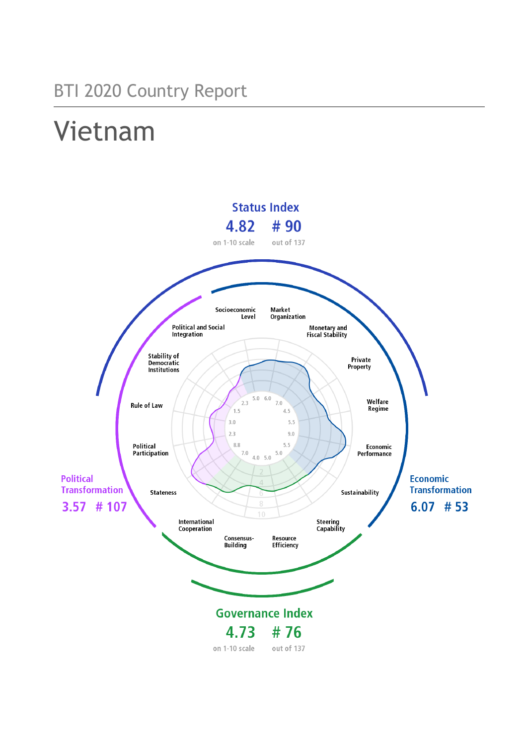## BTI 2020 Country Report

# Vietnam

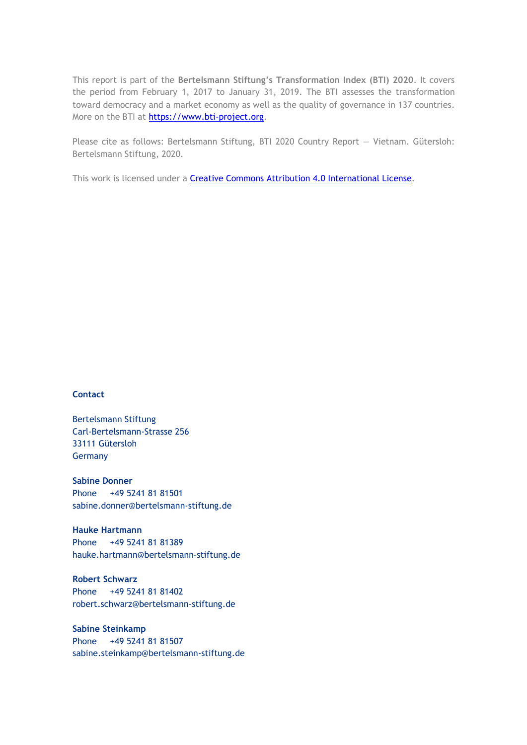This report is part of the **Bertelsmann Stiftung's Transformation Index (BTI) 2020**. It covers the period from February 1, 2017 to January 31, 2019. The BTI assesses the transformation toward democracy and a market economy as well as the quality of governance in 137 countries. More on the BTI at [https://www.bti-project.org.](http://www.bti-project.org/)

Please cite as follows: Bertelsmann Stiftung, BTI 2020 Country Report — Vietnam. Gütersloh: Bertelsmann Stiftung, 2020.

This work is licensed under a **Creative Commons Attribution 4.0 International License**.

#### **Contact**

Bertelsmann Stiftung Carl-Bertelsmann-Strasse 256 33111 Gütersloh Germany

**Sabine Donner** Phone +49 5241 81 81501 sabine.donner@bertelsmann-stiftung.de

**Hauke Hartmann** Phone +49 5241 81 81389 hauke.hartmann@bertelsmann-stiftung.de

**Robert Schwarz** Phone +49 5241 81 81402 robert.schwarz@bertelsmann-stiftung.de

**Sabine Steinkamp** Phone +49 5241 81 81507 sabine.steinkamp@bertelsmann-stiftung.de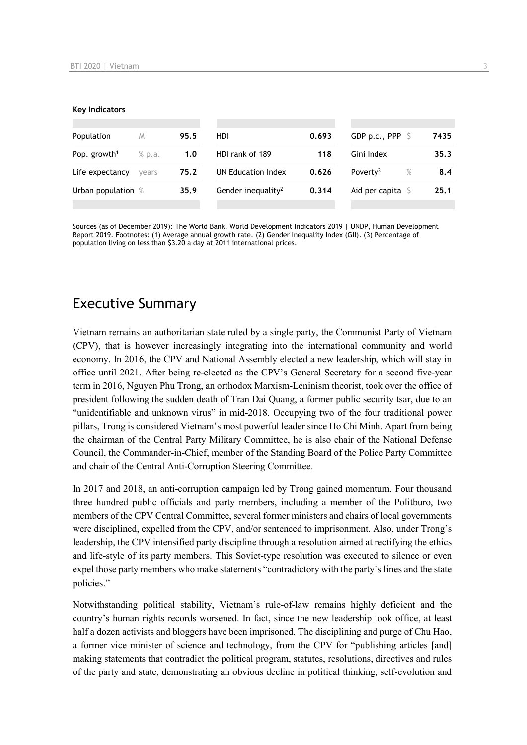#### **Key Indicators**

| Population               | M      | 95.5 | <b>HDI</b>                     | 0.693 | GDP p.c., PPP $\ S$          | 7435 |
|--------------------------|--------|------|--------------------------------|-------|------------------------------|------|
| Pop. growth <sup>1</sup> | % p.a. | 1.0  | HDI rank of 189                | 118   | Gini Index                   | 35.3 |
| Life expectancy          | vears  | 75.2 | UN Education Index             | 0.626 | $\%$<br>Poverty <sup>3</sup> | 8.4  |
| Urban population %       |        | 35.9 | Gender inequality <sup>2</sup> | 0.314 | Aid per capita $S$           | 25.1 |
|                          |        |      |                                |       |                              |      |

Sources (as of December 2019): The World Bank, World Development Indicators 2019 | UNDP, Human Development Report 2019. Footnotes: (1) Average annual growth rate. (2) Gender Inequality Index (GII). (3) Percentage of population living on less than \$3.20 a day at 2011 international prices.

## Executive Summary

Vietnam remains an authoritarian state ruled by a single party, the Communist Party of Vietnam (CPV), that is however increasingly integrating into the international community and world economy. In 2016, the CPV and National Assembly elected a new leadership, which will stay in office until 2021. After being re-elected as the CPV's General Secretary for a second five-year term in 2016, Nguyen Phu Trong, an orthodox Marxism-Leninism theorist, took over the office of president following the sudden death of Tran Dai Quang, a former public security tsar, due to an "unidentifiable and unknown virus" in mid-2018. Occupying two of the four traditional power pillars, Trong is considered Vietnam's most powerful leader since Ho Chi Minh. Apart from being the chairman of the Central Party Military Committee, he is also chair of the National Defense Council, the Commander-in-Chief, member of the Standing Board of the Police Party Committee and chair of the Central Anti-Corruption Steering Committee.

In 2017 and 2018, an anti-corruption campaign led by Trong gained momentum. Four thousand three hundred public officials and party members, including a member of the Politburo, two members of the CPV Central Committee, several former ministers and chairs of local governments were disciplined, expelled from the CPV, and/or sentenced to imprisonment. Also, under Trong's leadership, the CPV intensified party discipline through a resolution aimed at rectifying the ethics and life-style of its party members. This Soviet-type resolution was executed to silence or even expel those party members who make statements "contradictory with the party's lines and the state policies."

Notwithstanding political stability, Vietnam's rule-of-law remains highly deficient and the country's human rights records worsened. In fact, since the new leadership took office, at least half a dozen activists and bloggers have been imprisoned. The disciplining and purge of Chu Hao, a former vice minister of science and technology, from the CPV for "publishing articles [and] making statements that contradict the political program, statutes, resolutions, directives and rules of the party and state, demonstrating an obvious decline in political thinking, self-evolution and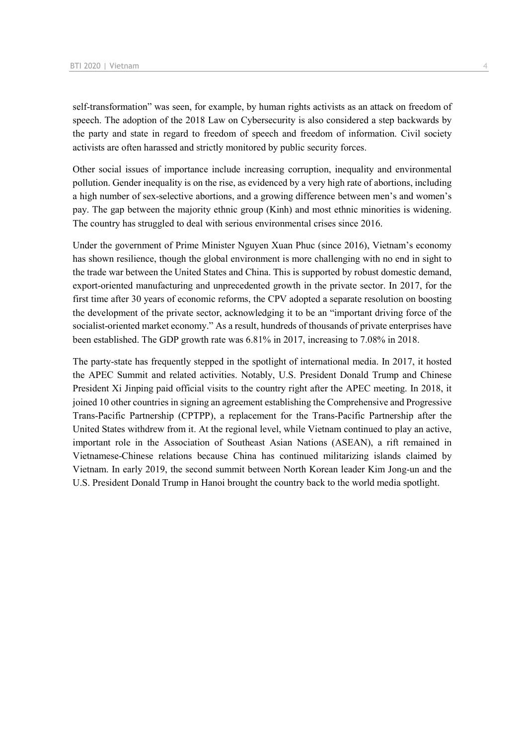self-transformation" was seen, for example, by human rights activists as an attack on freedom of speech. The adoption of the 2018 Law on Cybersecurity is also considered a step backwards by the party and state in regard to freedom of speech and freedom of information. Civil society activists are often harassed and strictly monitored by public security forces.

Other social issues of importance include increasing corruption, inequality and environmental pollution. Gender inequality is on the rise, as evidenced by a very high rate of abortions, including a high number of sex-selective abortions, and a growing difference between men's and women's pay. The gap between the majority ethnic group (Kinh) and most ethnic minorities is widening. The country has struggled to deal with serious environmental crises since 2016.

Under the government of Prime Minister Nguyen Xuan Phuc (since 2016), Vietnam's economy has shown resilience, though the global environment is more challenging with no end in sight to the trade war between the United States and China. This is supported by robust domestic demand, export-oriented manufacturing and unprecedented growth in the private sector. In 2017, for the first time after 30 years of economic reforms, the CPV adopted a separate resolution on boosting the development of the private sector, acknowledging it to be an "important driving force of the socialist-oriented market economy." As a result, hundreds of thousands of private enterprises have been established. The GDP growth rate was 6.81% in 2017, increasing to 7.08% in 2018.

The party-state has frequently stepped in the spotlight of international media. In 2017, it hosted the APEC Summit and related activities. Notably, U.S. President Donald Trump and Chinese President Xi Jinping paid official visits to the country right after the APEC meeting. In 2018, it joined 10 other countries in signing an agreement establishing the Comprehensive and Progressive Trans-Pacific Partnership (CPTPP), a replacement for the Trans-Pacific Partnership after the United States withdrew from it. At the regional level, while Vietnam continued to play an active, important role in the Association of Southeast Asian Nations (ASEAN), a rift remained in Vietnamese-Chinese relations because China has continued militarizing islands claimed by Vietnam. In early 2019, the second summit between North Korean leader Kim Jong-un and the U.S. President Donald Trump in Hanoi brought the country back to the world media spotlight.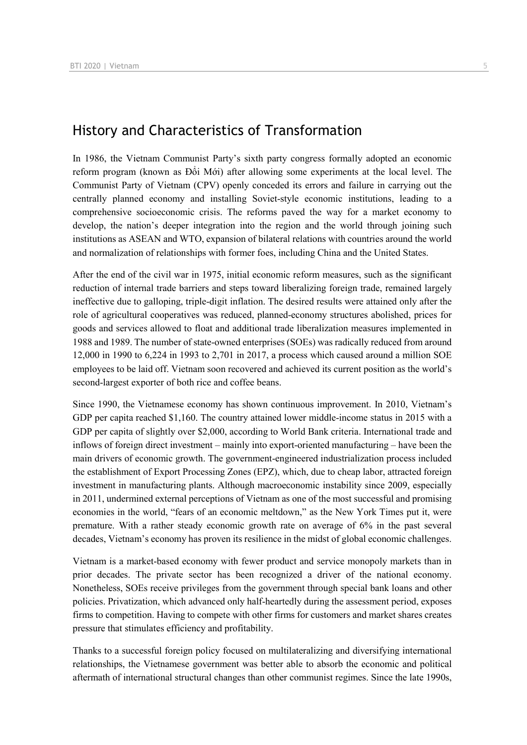## History and Characteristics of Transformation

In 1986, the Vietnam Communist Party's sixth party congress formally adopted an economic reform program (known as Đổi Mới) after allowing some experiments at the local level. The Communist Party of Vietnam (CPV) openly conceded its errors and failure in carrying out the centrally planned economy and installing Soviet-style economic institutions, leading to a comprehensive socioeconomic crisis. The reforms paved the way for a market economy to develop, the nation's deeper integration into the region and the world through joining such institutions as ASEAN and WTO, expansion of bilateral relations with countries around the world and normalization of relationships with former foes, including China and the United States.

After the end of the civil war in 1975, initial economic reform measures, such as the significant reduction of internal trade barriers and steps toward liberalizing foreign trade, remained largely ineffective due to galloping, triple-digit inflation. The desired results were attained only after the role of agricultural cooperatives was reduced, planned-economy structures abolished, prices for goods and services allowed to float and additional trade liberalization measures implemented in 1988 and 1989. The number of state-owned enterprises (SOEs) was radically reduced from around 12,000 in 1990 to 6,224 in 1993 to 2,701 in 2017, a process which caused around a million SOE employees to be laid off. Vietnam soon recovered and achieved its current position as the world's second-largest exporter of both rice and coffee beans.

Since 1990, the Vietnamese economy has shown continuous improvement. In 2010, Vietnam's GDP per capita reached \$1,160. The country attained lower middle-income status in 2015 with a GDP per capita of slightly over \$2,000, according to World Bank criteria. International trade and inflows of foreign direct investment – mainly into export-oriented manufacturing – have been the main drivers of economic growth. The government-engineered industrialization process included the establishment of Export Processing Zones (EPZ), which, due to cheap labor, attracted foreign investment in manufacturing plants. Although macroeconomic instability since 2009, especially in 2011, undermined external perceptions of Vietnam as one of the most successful and promising economies in the world, "fears of an economic meltdown," as the New York Times put it, were premature. With a rather steady economic growth rate on average of 6% in the past several decades, Vietnam's economy has proven its resilience in the midst of global economic challenges.

Vietnam is a market-based economy with fewer product and service monopoly markets than in prior decades. The private sector has been recognized a driver of the national economy. Nonetheless, SOEs receive privileges from the government through special bank loans and other policies. Privatization, which advanced only half-heartedly during the assessment period, exposes firms to competition. Having to compete with other firms for customers and market shares creates pressure that stimulates efficiency and profitability.

Thanks to a successful foreign policy focused on multilateralizing and diversifying international relationships, the Vietnamese government was better able to absorb the economic and political aftermath of international structural changes than other communist regimes. Since the late 1990s,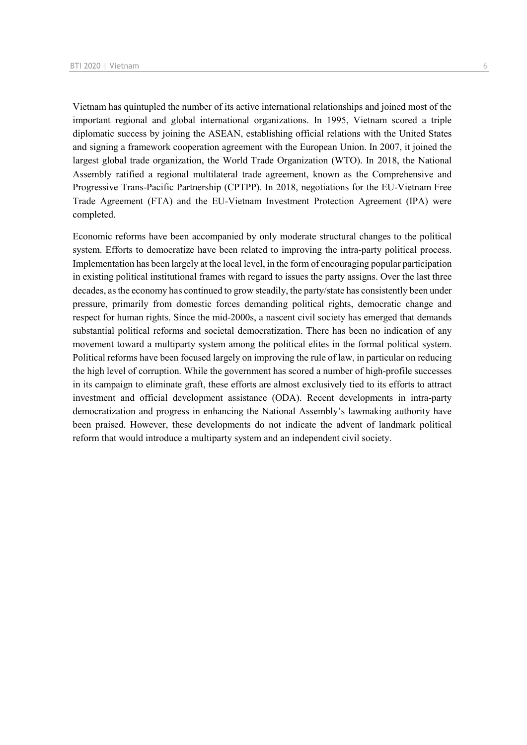Vietnam has quintupled the number of its active international relationships and joined most of the important regional and global international organizations. In 1995, Vietnam scored a triple diplomatic success by joining the ASEAN, establishing official relations with the United States and signing a framework cooperation agreement with the European Union. In 2007, it joined the largest global trade organization, the World Trade Organization (WTO). In 2018, the National Assembly ratified a regional multilateral trade agreement, known as the Comprehensive and Progressive Trans-Pacific Partnership (CPTPP). In 2018, negotiations for the EU-Vietnam Free Trade Agreement (FTA) and the EU-Vietnam Investment Protection Agreement (IPA) were completed.

Economic reforms have been accompanied by only moderate structural changes to the political system. Efforts to democratize have been related to improving the intra-party political process. Implementation has been largely at the local level, in the form of encouraging popular participation in existing political institutional frames with regard to issues the party assigns. Over the last three decades, as the economy has continued to grow steadily, the party/state has consistently been under pressure, primarily from domestic forces demanding political rights, democratic change and respect for human rights. Since the mid-2000s, a nascent civil society has emerged that demands substantial political reforms and societal democratization. There has been no indication of any movement toward a multiparty system among the political elites in the formal political system. Political reforms have been focused largely on improving the rule of law, in particular on reducing the high level of corruption. While the government has scored a number of high-profile successes in its campaign to eliminate graft, these efforts are almost exclusively tied to its efforts to attract investment and official development assistance (ODA). Recent developments in intra-party democratization and progress in enhancing the National Assembly's lawmaking authority have been praised. However, these developments do not indicate the advent of landmark political reform that would introduce a multiparty system and an independent civil society.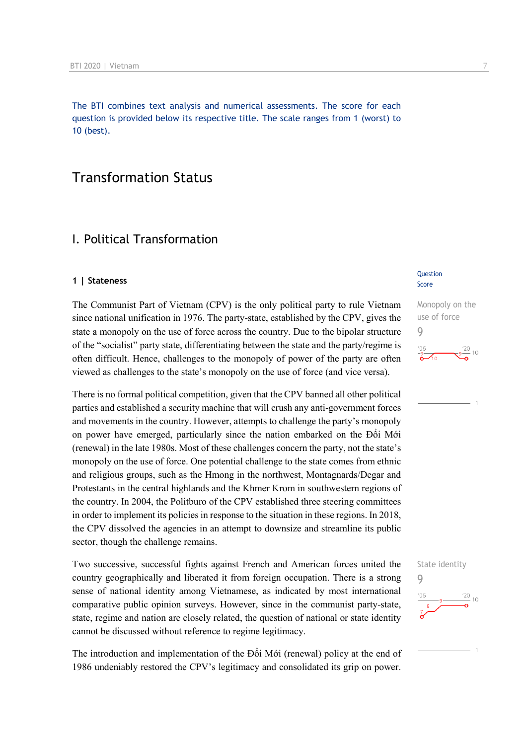The BTI combines text analysis and numerical assessments. The score for each question is provided below its respective title. The scale ranges from 1 (worst) to 10 (best).

## Transformation Status

### I. Political Transformation

#### **1 | Stateness**

The Communist Part of Vietnam (CPV) is the only political party to rule Vietnam since national unification in 1976. The party-state, established by the CPV, gives the state a monopoly on the use of force across the country. Due to the bipolar structure of the "socialist" party state, differentiating between the state and the party/regime is often difficult. Hence, challenges to the monopoly of power of the party are often viewed as challenges to the state's monopoly on the use of force (and vice versa).

There is no formal political competition, given that the CPV banned all other political parties and established a security machine that will crush any anti-government forces and movements in the country. However, attempts to challenge the party's monopoly on power have emerged, particularly since the nation embarked on the Đổi Mới (renewal) in the late 1980s. Most of these challenges concern the party, not the state's monopoly on the use of force. One potential challenge to the state comes from ethnic and religious groups, such as the Hmong in the northwest, Montagnards/Degar and Protestants in the central highlands and the Khmer Krom in southwestern regions of the country. In 2004, the Politburo of the CPV established three steering committees in order to implement its policies in response to the situation in these regions. In 2018, the CPV dissolved the agencies in an attempt to downsize and streamline its public sector, though the challenge remains.

Two successive, successful fights against French and American forces united the country geographically and liberated it from foreign occupation. There is a strong sense of national identity among Vietnamese, as indicated by most international comparative public opinion surveys. However, since in the communist party-state, state, regime and nation are closely related, the question of national or state identity cannot be discussed without reference to regime legitimacy.

The introduction and implementation of the Đổi Mới (renewal) policy at the end of 1986 undeniably restored the CPV's legitimacy and consolidated its grip on power.

#### Question Score



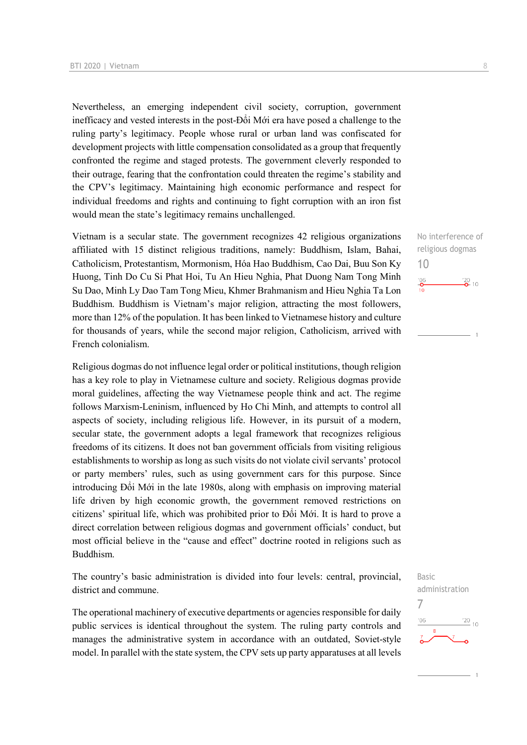Nevertheless, an emerging independent civil society, corruption, government inefficacy and vested interests in the post-Đổi Mới era have posed a challenge to the ruling party's legitimacy. People whose rural or urban land was confiscated for development projects with little compensation consolidated as a group that frequently confronted the regime and staged protests. The government cleverly responded to their outrage, fearing that the confrontation could threaten the regime's stability and the CPV's legitimacy. Maintaining high economic performance and respect for individual freedoms and rights and continuing to fight corruption with an iron fist would mean the state's legitimacy remains unchallenged.

Vietnam is a secular state. The government recognizes 42 religious organizations affiliated with 15 distinct religious traditions, namely: Buddhism, Islam, Bahai, Catholicism, Protestantism, Mormonism, Hóa Hao Buddhism, Cao Dai, Buu Son Ky Huong, Tinh Do Cu Si Phat Hoi, Tu An Hieu Nghia, Phat Duong Nam Tong Minh Su Dao, Minh Ly Dao Tam Tong Mieu, Khmer Brahmanism and Hieu Nghia Ta Lon Buddhism. Buddhism is Vietnam's major religion, attracting the most followers, more than 12% of the population. It has been linked to Vietnamese history and culture for thousands of years, while the second major religion, Catholicism, arrived with French colonialism.

Religious dogmas do not influence legal order or political institutions, though religion has a key role to play in Vietnamese culture and society. Religious dogmas provide moral guidelines, affecting the way Vietnamese people think and act. The regime follows Marxism-Leninism, influenced by Ho Chi Minh, and attempts to control all aspects of society, including religious life. However, in its pursuit of a modern, secular state, the government adopts a legal framework that recognizes religious freedoms of its citizens. It does not ban government officials from visiting religious establishments to worship as long as such visits do not violate civil servants' protocol or party members' rules, such as using government cars for this purpose. Since introducing Đổi Mới in the late 1980s, along with emphasis on improving material life driven by high economic growth, the government removed restrictions on citizens' spiritual life, which was prohibited prior to Đổi Mới. It is hard to prove a direct correlation between religious dogmas and government officials' conduct, but most official believe in the "cause and effect" doctrine rooted in religions such as Buddhism.

The country's basic administration is divided into four levels: central, provincial, district and commune.

The operational machinery of executive departments or agencies responsible for daily public services is identical throughout the system. The ruling party controls and manages the administrative system in accordance with an outdated, Soviet-style model. In parallel with the state system, the CPV sets up party apparatuses at all levels

No interference of religious dogmas 10  $^{206}$  $\frac{20}{2}$  10

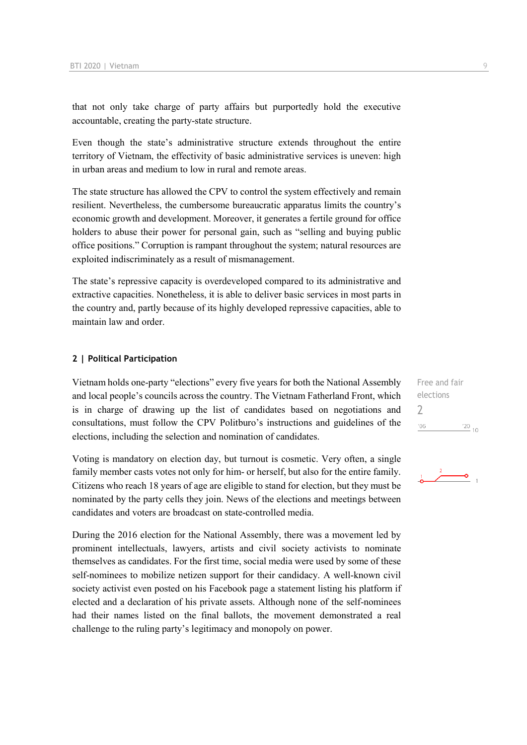that not only take charge of party affairs but purportedly hold the executive accountable, creating the party-state structure.

Even though the state's administrative structure extends throughout the entire territory of Vietnam, the effectivity of basic administrative services is uneven: high in urban areas and medium to low in rural and remote areas.

The state structure has allowed the CPV to control the system effectively and remain resilient. Nevertheless, the cumbersome bureaucratic apparatus limits the country's economic growth and development. Moreover, it generates a fertile ground for office holders to abuse their power for personal gain, such as "selling and buying public office positions." Corruption is rampant throughout the system; natural resources are exploited indiscriminately as a result of mismanagement.

The state's repressive capacity is overdeveloped compared to its administrative and extractive capacities. Nonetheless, it is able to deliver basic services in most parts in the country and, partly because of its highly developed repressive capacities, able to maintain law and order.

#### **2 | Political Participation**

Vietnam holds one-party "elections" every five years for both the National Assembly and local people's councils across the country. The Vietnam Fatherland Front, which is in charge of drawing up the list of candidates based on negotiations and consultations, must follow the CPV Politburo's instructions and guidelines of the elections, including the selection and nomination of candidates.

Voting is mandatory on election day, but turnout is cosmetic. Very often, a single family member casts votes not only for him- or herself, but also for the entire family. Citizens who reach 18 years of age are eligible to stand for election, but they must be nominated by the party cells they join. News of the elections and meetings between candidates and voters are broadcast on state-controlled media.

During the 2016 election for the National Assembly, there was a movement led by prominent intellectuals, lawyers, artists and civil society activists to nominate themselves as candidates. For the first time, social media were used by some of these self-nominees to mobilize netizen support for their candidacy. A well-known civil society activist even posted on his Facebook page a statement listing his platform if elected and a declaration of his private assets. Although none of the self-nominees had their names listed on the final ballots, the movement demonstrated a real challenge to the ruling party's legitimacy and monopoly on power.

Free and fair elections  $\overline{\phantom{a}}$  $'06$  $\frac{20}{10}$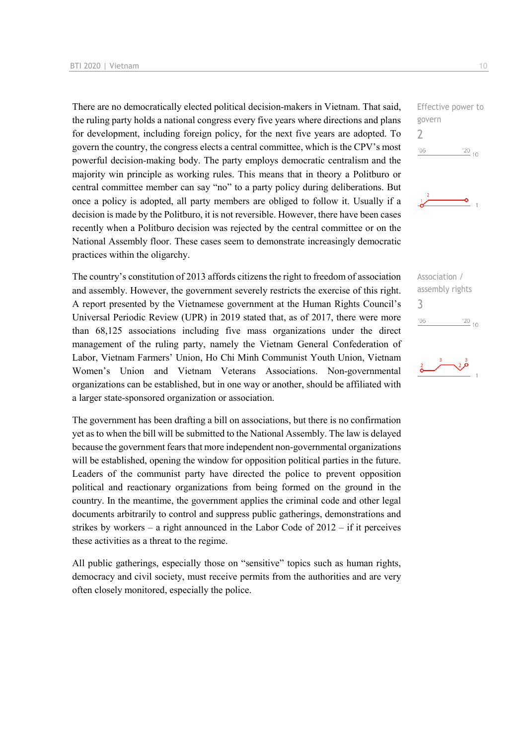There are no democratically elected political decision-makers in Vietnam. That said, the ruling party holds a national congress every five years where directions and plans for development, including foreign policy, for the next five years are adopted. To govern the country, the congress elects a central committee, which is the CPV's most powerful decision-making body. The party employs democratic centralism and the majority win principle as working rules. This means that in theory a Politburo or central committee member can say "no" to a party policy during deliberations. But once a policy is adopted, all party members are obliged to follow it. Usually if a decision is made by the Politburo, it is not reversible. However, there have been cases recently when a Politburo decision was rejected by the central committee or on the National Assembly floor. These cases seem to demonstrate increasingly democratic practices within the oligarchy.

The country's constitution of 2013 affords citizens the right to freedom of association and assembly. However, the government severely restricts the exercise of this right. A report presented by the Vietnamese government at the Human Rights Council's Universal Periodic Review (UPR) in 2019 stated that, as of 2017, there were more than 68,125 associations including five mass organizations under the direct management of the ruling party, namely the Vietnam General Confederation of Labor, Vietnam Farmers' Union, Ho Chi Minh Communist Youth Union, Vietnam Women's Union and Vietnam Veterans Associations. Non-governmental organizations can be established, but in one way or another, should be affiliated with a larger state-sponsored organization or association.

The government has been drafting a bill on associations, but there is no confirmation yet as to when the bill will be submitted to the National Assembly. The law is delayed because the government fears that more independent non-governmental organizations will be established, opening the window for opposition political parties in the future. Leaders of the communist party have directed the police to prevent opposition political and reactionary organizations from being formed on the ground in the country. In the meantime, the government applies the criminal code and other legal documents arbitrarily to control and suppress public gatherings, demonstrations and strikes by workers – a right announced in the Labor Code of  $2012 - if$  it perceives these activities as a threat to the regime.

All public gatherings, especially those on "sensitive" topics such as human rights, democracy and civil society, must receive permits from the authorities and are very often closely monitored, especially the police.





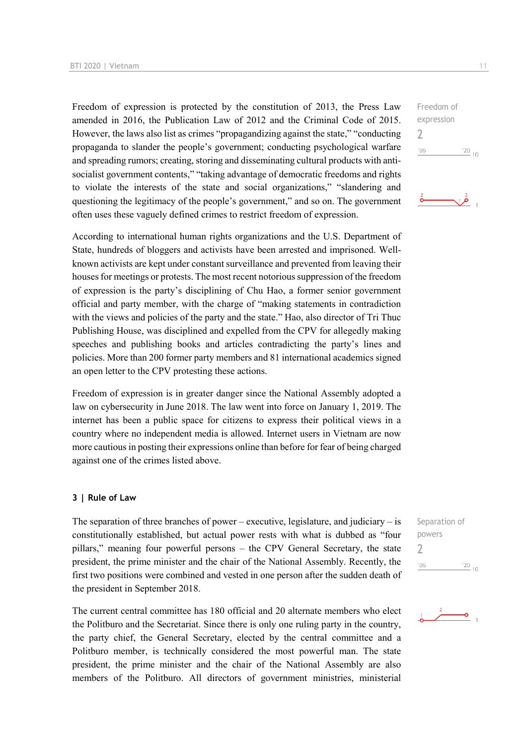Freedom of expression is protected by the constitution of 2013, the Press Law amended in 2016, the Publication Law of 2012 and the Criminal Code of 2015. However, the laws also list as crimes "propagandizing against the state," "conducting propaganda to slander the people's government; conducting psychological warfare and spreading rumors; creating, storing and disseminating cultural products with antisocialist government contents," "taking advantage of democratic freedoms and rights to violate the interests of the state and social organizations," "slandering and questioning the legitimacy of the people's government," and so on. The government often uses these vaguely defined crimes to restrict freedom of expression.

According to international human rights organizations and the U.S. Department of State, hundreds of bloggers and activists have been arrested and imprisoned. Wellknown activists are kept under constant surveillance and prevented from leaving their houses for meetings or protests. The most recent notorious suppression of the freedom of expression is the party's disciplining of Chu Hao, a former senior government official and party member, with the charge of "making statements in contradiction with the views and policies of the party and the state." Hao, also director of Tri Thuc Publishing House, was disciplined and expelled from the CPV for allegedly making speeches and publishing books and articles contradicting the party's lines and policies. More than 200 former party members and 81 international academics signed an open letter to the CPV protesting these actions.

Freedom of expression is in greater danger since the National Assembly adopted a law on cybersecurity in June 2018. The law went into force on January 1, 2019. The internet has been a public space for citizens to express their political views in a country where no independent media is allowed. Internet users in Vietnam are now more cautious in posting their expressions online than before for fear of being charged against one of the crimes listed above.

#### **3 | Rule of Law**

The separation of three branches of power – executive, legislature, and judiciary – is constitutionally established, but actual power rests with what is dubbed as "four pillars," meaning four powerful persons – the CPV General Secretary, the state president, the prime minister and the chair of the National Assembly. Recently, the first two positions were combined and vested in one person after the sudden death of the president in September 2018.

The current central committee has 180 official and 20 alternate members who elect the Politburo and the Secretariat. Since there is only one ruling party in the country, the party chief, the General Secretary, elected by the central committee and a Politburo member, is technically considered the most powerful man. The state president, the prime minister and the chair of the National Assembly are also members of the Politburo. All directors of government ministries, ministerial

 $\gamma$  $'06$  $\frac{20}{10}$ 

expression



Separation of powers  $\overline{\phantom{a}}$  $^{\prime}06$  $\frac{20}{10}$ 

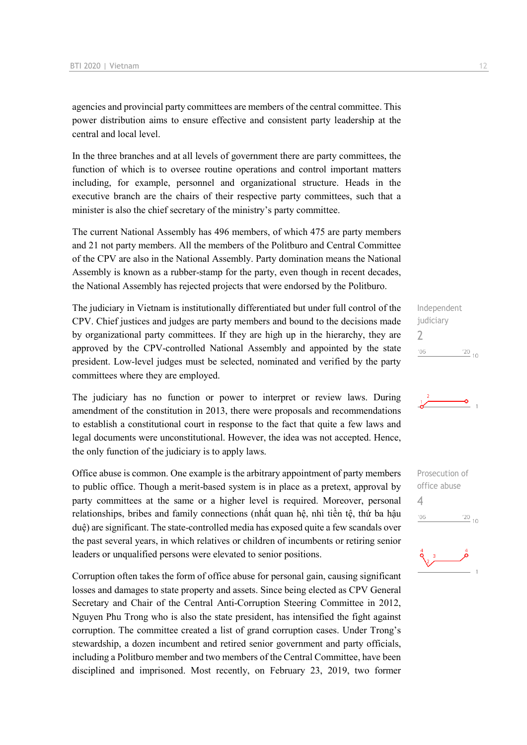agencies and provincial party committees are members of the central committee. This power distribution aims to ensure effective and consistent party leadership at the central and local level.

In the three branches and at all levels of government there are party committees, the function of which is to oversee routine operations and control important matters including, for example, personnel and organizational structure. Heads in the executive branch are the chairs of their respective party committees, such that a minister is also the chief secretary of the ministry's party committee.

The current National Assembly has 496 members, of which 475 are party members and 21 not party members. All the members of the Politburo and Central Committee of the CPV are also in the National Assembly. Party domination means the National Assembly is known as a rubber-stamp for the party, even though in recent decades, the National Assembly has rejected projects that were endorsed by the Politburo.

The judiciary in Vietnam is institutionally differentiated but under full control of the CPV. Chief justices and judges are party members and bound to the decisions made by organizational party committees. If they are high up in the hierarchy, they are approved by the CPV-controlled National Assembly and appointed by the state president. Low-level judges must be selected, nominated and verified by the party committees where they are employed.

The judiciary has no function or power to interpret or review laws. During amendment of the constitution in 2013, there were proposals and recommendations to establish a constitutional court in response to the fact that quite a few laws and legal documents were unconstitutional. However, the idea was not accepted. Hence, the only function of the judiciary is to apply laws.

Office abuse is common. One example is the arbitrary appointment of party members to public office. Though a merit-based system is in place as a pretext, approval by party committees at the same or a higher level is required. Moreover, personal relationships, bribes and family connections (nhất quan hệ, nhì tiền tệ, thứ ba hậu duệ) are significant. The state-controlled media has exposed quite a few scandals over the past several years, in which relatives or children of incumbents or retiring senior leaders or unqualified persons were elevated to senior positions.

Corruption often takes the form of office abuse for personal gain, causing significant losses and damages to state property and assets. Since being elected as CPV General Secretary and Chair of the Central Anti-Corruption Steering Committee in 2012, Nguyen Phu Trong who is also the state president, has intensified the fight against corruption. The committee created a list of grand corruption cases. Under Trong's stewardship, a dozen incumbent and retired senior government and party officials, including a Politburo member and two members of the Central Committee, have been disciplined and imprisoned. Most recently, on February 23, 2019, two former

Independent judiciary  $\overline{\phantom{0}}$  $\frac{20}{10}$  $106$ 



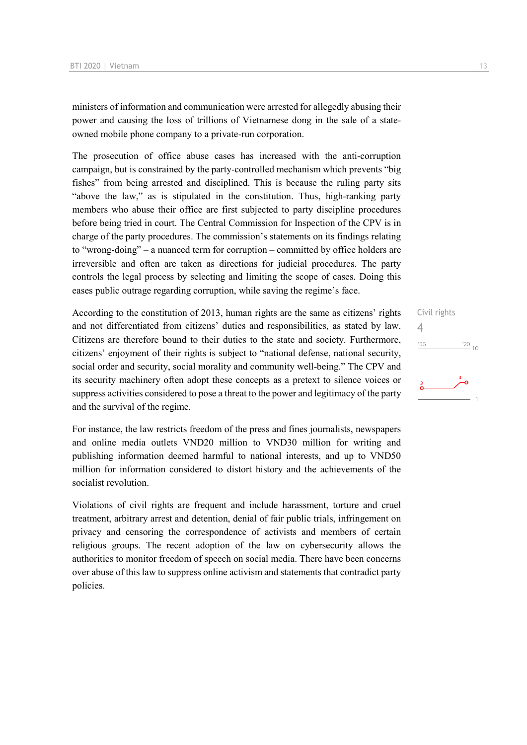ministers of information and communication were arrested for allegedly abusing their power and causing the loss of trillions of Vietnamese dong in the sale of a stateowned mobile phone company to a private-run corporation.

The prosecution of office abuse cases has increased with the anti-corruption campaign, but is constrained by the party-controlled mechanism which prevents "big fishes" from being arrested and disciplined. This is because the ruling party sits "above the law," as is stipulated in the constitution. Thus, high-ranking party members who abuse their office are first subjected to party discipline procedures before being tried in court. The Central Commission for Inspection of the CPV is in charge of the party procedures. The commission's statements on its findings relating to "wrong-doing" – a nuanced term for corruption – committed by office holders are irreversible and often are taken as directions for judicial procedures. The party controls the legal process by selecting and limiting the scope of cases. Doing this eases public outrage regarding corruption, while saving the regime's face.

According to the constitution of 2013, human rights are the same as citizens' rights and not differentiated from citizens' duties and responsibilities, as stated by law. Citizens are therefore bound to their duties to the state and society. Furthermore, citizens' enjoyment of their rights is subject to "national defense, national security, social order and security, social morality and community well-being." The CPV and its security machinery often adopt these concepts as a pretext to silence voices or suppress activities considered to pose a threat to the power and legitimacy of the party and the survival of the regime.

For instance, the law restricts freedom of the press and fines journalists, newspapers and online media outlets VND20 million to VND30 million for writing and publishing information deemed harmful to national interests, and up to VND50 million for information considered to distort history and the achievements of the socialist revolution.

Violations of civil rights are frequent and include harassment, torture and cruel treatment, arbitrary arrest and detention, denial of fair public trials, infringement on privacy and censoring the correspondence of activists and members of certain religious groups. The recent adoption of the law on cybersecurity allows the authorities to monitor freedom of speech on social media. There have been concerns over abuse of this law to suppress online activism and statements that contradict party policies.

Civil rights 4 $^{\prime}06$  $\frac{20}{10}$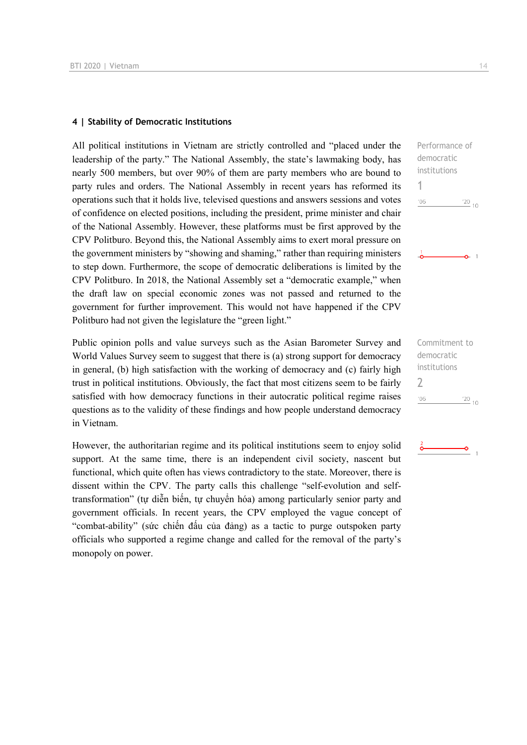#### **4 | Stability of Democratic Institutions**

All political institutions in Vietnam are strictly controlled and "placed under the leadership of the party." The National Assembly, the state's lawmaking body, has nearly 500 members, but over 90% of them are party members who are bound to party rules and orders. The National Assembly in recent years has reformed its operations such that it holds live, televised questions and answers sessions and votes of confidence on elected positions, including the president, prime minister and chair of the National Assembly. However, these platforms must be first approved by the CPV Politburo. Beyond this, the National Assembly aims to exert moral pressure on the government ministers by "showing and shaming," rather than requiring ministers to step down. Furthermore, the scope of democratic deliberations is limited by the CPV Politburo. In 2018, the National Assembly set a "democratic example," when the draft law on special economic zones was not passed and returned to the government for further improvement. This would not have happened if the CPV Politburo had not given the legislature the "green light."

Public opinion polls and value surveys such as the Asian Barometer Survey and World Values Survey seem to suggest that there is (a) strong support for democracy in general, (b) high satisfaction with the working of democracy and (c) fairly high trust in political institutions. Obviously, the fact that most citizens seem to be fairly satisfied with how democracy functions in their autocratic political regime raises questions as to the validity of these findings and how people understand democracy in Vietnam.

However, the authoritarian regime and its political institutions seem to enjoy solid support. At the same time, there is an independent civil society, nascent but functional, which quite often has views contradictory to the state. Moreover, there is dissent within the CPV. The party calls this challenge "self-evolution and selftransformation" (tự diễn biến, tự chuyển hóa) among particularly senior party and government officials. In recent years, the CPV employed the vague concept of "combat-ability" (sức chiến đấu của đảng) as a tactic to purge outspoken party officials who supported a regime change and called for the removal of the party's monopoly on power.

Performance of democratic institutions 1  $106$  $\frac{20}{10}$  $\Omega$  1

Commitment to democratic institutions  $\overline{\phantom{0}}$  $\frac{20}{10}$  $06'$ 

-o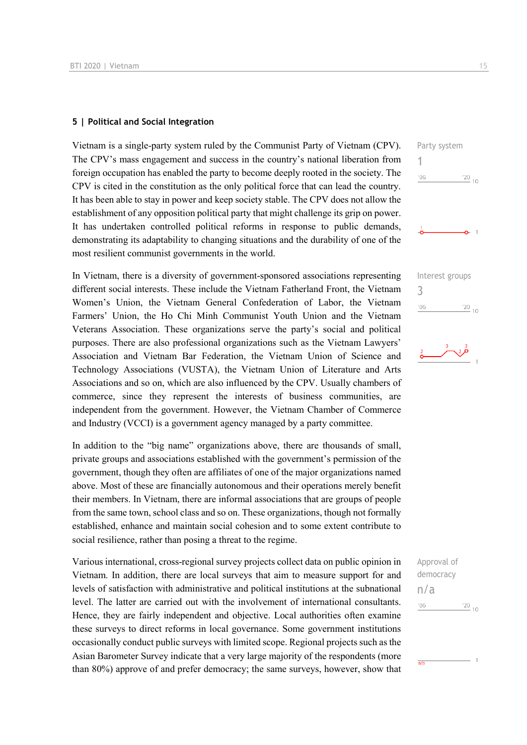#### **5 | Political and Social Integration**

Vietnam is a single-party system ruled by the Communist Party of Vietnam (CPV). The CPV's mass engagement and success in the country's national liberation from foreign occupation has enabled the party to become deeply rooted in the society. The CPV is cited in the constitution as the only political force that can lead the country. It has been able to stay in power and keep society stable. The CPV does not allow the establishment of any opposition political party that might challenge its grip on power. It has undertaken controlled political reforms in response to public demands, demonstrating its adaptability to changing situations and the durability of one of the most resilient communist governments in the world.

In Vietnam, there is a diversity of government-sponsored associations representing different social interests. These include the Vietnam Fatherland Front, the Vietnam Women's Union, the Vietnam General Confederation of Labor, the Vietnam Farmers' Union, the Ho Chi Minh Communist Youth Union and the Vietnam Veterans Association. These organizations serve the party's social and political purposes. There are also professional organizations such as the Vietnam Lawyers' Association and Vietnam Bar Federation, the Vietnam Union of Science and Technology Associations (VUSTA), the Vietnam Union of Literature and Arts Associations and so on, which are also influenced by the CPV. Usually chambers of commerce, since they represent the interests of business communities, are independent from the government. However, the Vietnam Chamber of Commerce and Industry (VCCI) is a government agency managed by a party committee.

In addition to the "big name" organizations above, there are thousands of small, private groups and associations established with the government's permission of the government, though they often are affiliates of one of the major organizations named above. Most of these are financially autonomous and their operations merely benefit their members. In Vietnam, there are informal associations that are groups of people from the same town, school class and so on. These organizations, though not formally established, enhance and maintain social cohesion and to some extent contribute to social resilience, rather than posing a threat to the regime.

Various international, cross-regional survey projects collect data on public opinion in Vietnam. In addition, there are local surveys that aim to measure support for and levels of satisfaction with administrative and political institutions at the subnational level. The latter are carried out with the involvement of international consultants. Hence, they are fairly independent and objective. Local authorities often examine these surveys to direct reforms in local governance. Some government institutions occasionally conduct public surveys with limited scope. Regional projects such as the Asian Barometer Survey indicate that a very large majority of the respondents (more than 80%) approve of and prefer democracy; the same surveys, however, show that





| Approval of |            |  |
|-------------|------------|--|
| democracy   |            |  |
| n/a         |            |  |
| '06         | $^{20}$ 10 |  |
|             |            |  |

 $\frac{1}{n/a}$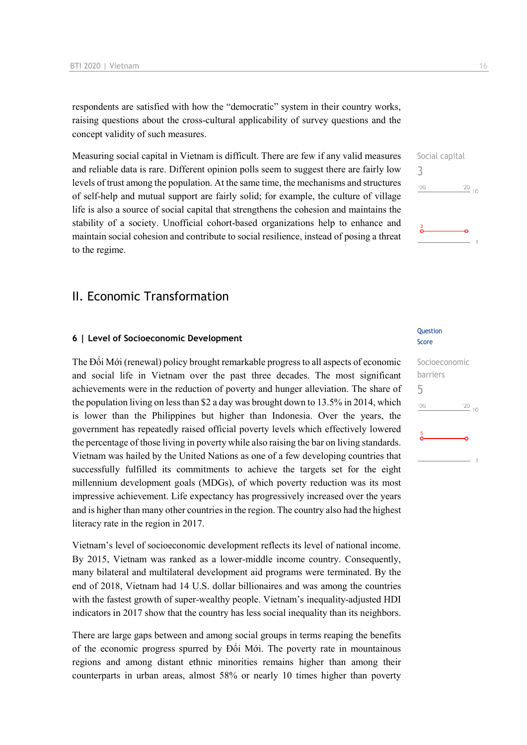respondents are satisfied with how the "democratic" system in their country works, raising questions about the cross-cultural applicability of survey questions and the concept validity of such measures.

Measuring social capital in Vietnam is difficult. There are few if any valid measures and reliable data is rare. Different opinion polls seem to suggest there are fairly low levels of trust among the population. At the same time, the mechanisms and structures of self-help and mutual support are fairly solid; for example, the culture of village life is also a source of social capital that strengthens the cohesion and maintains the stability of a society. Unofficial cohort-based organizations help to enhance and maintain social cohesion and contribute to social resilience, instead of posing a threat to the regime.

## II. Economic Transformation

#### **6 | Level of Socioeconomic Development**

The Đổi Mới (renewal) policy brought remarkable progress to all aspects of economic and social life in Vietnam over the past three decades. The most significant achievements were in the reduction of poverty and hunger alleviation. The share of the population living on less than \$2 a day was brought down to 13.5% in 2014, which is lower than the Philippines but higher than Indonesia. Over the years, the government has repeatedly raised official poverty levels which effectively lowered the percentage of those living in poverty while also raising the bar on living standards. Vietnam was hailed by the United Nations as one of a few developing countries that successfully fulfilled its commitments to achieve the targets set for the eight millennium development goals (MDGs), of which poverty reduction was its most impressive achievement. Life expectancy has progressively increased over the years and is higher than many other countries in the region. The country also had the highest literacy rate in the region in 2017.

Vietnam's level of socioeconomic development reflects its level of national income. By 2015, Vietnam was ranked as a lower-middle income country. Consequently, many bilateral and multilateral development aid programs were terminated. By the end of 2018, Vietnam had 14 U.S. dollar billionaires and was among the countries with the fastest growth of super-wealthy people. Vietnam's inequality-adjusted HDI indicators in 2017 show that the country has less social inequality than its neighbors.

There are large gaps between and among social groups in terms reaping the benefits of the economic progress spurred by Đổi Mới. The poverty rate in mountainous regions and among distant ethnic minorities remains higher than among their counterparts in urban areas, almost 58% or nearly 10 times higher than poverty

#### **Ouestion** Score

## Socioeconomic barriers 5 $\frac{20}{10}$  $n6$

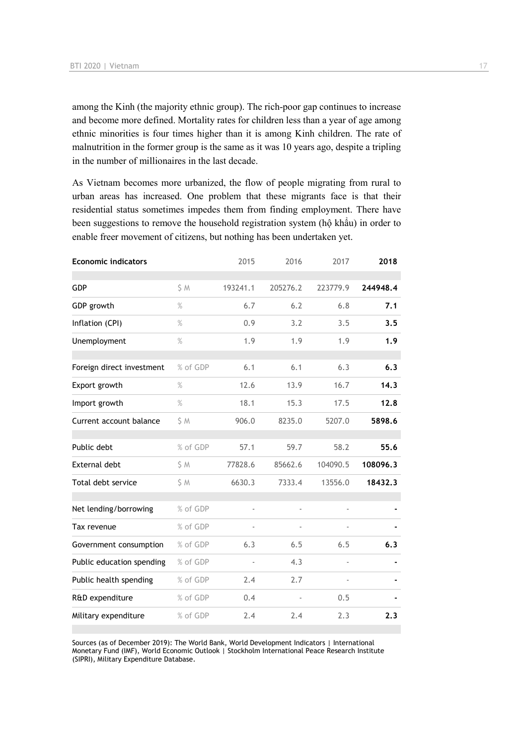among the Kinh (the majority ethnic group). The rich-poor gap continues to increase and become more defined. Mortality rates for children less than a year of age among ethnic minorities is four times higher than it is among Kinh children. The rate of malnutrition in the former group is the same as it was 10 years ago, despite a tripling in the number of millionaires in the last decade.

As Vietnam becomes more urbanized, the flow of people migrating from rural to urban areas has increased. One problem that these migrants face is that their residential status sometimes impedes them from finding employment. There have been suggestions to remove the household registration system (hộ khẩu) in order to enable freer movement of citizens, but nothing has been undertaken yet.

| <b>Economic indicators</b> |          | 2015     | 2016          | 2017                     | 2018     |
|----------------------------|----------|----------|---------------|--------------------------|----------|
| <b>GDP</b>                 | \$M      | 193241.1 | 205276.2      | 223779.9                 | 244948.4 |
| GDP growth                 | $\%$     | 6.7      | 6.2           | 6.8                      | 7.1      |
| Inflation (CPI)            | $\%$     | 0.9      | 3.2           | 3.5                      | 3.5      |
| Unemployment               | $\%$     | 1.9      | 1.9           | 1.9                      | 1.9      |
| Foreign direct investment  | % of GDP | 6.1      | 6.1           | 6.3                      | 6.3      |
| Export growth              | $\%$     | 12.6     | 13.9          | 16.7                     | 14.3     |
| Import growth              | $\%$     | 18.1     | 15.3          | 17.5                     | 12.8     |
| Current account balance    | S M      | 906.0    | 8235.0        | 5207.0                   | 5898.6   |
| Public debt                | % of GDP | 57.1     | 59.7          | 58.2                     | 55.6     |
| External debt              | S M      | 77828.6  | 85662.6       | 104090.5                 | 108096.3 |
| Total debt service         | \$M      | 6630.3   | 7333.4        | 13556.0                  | 18432.3  |
| Net lending/borrowing      | % of GDP |          | $\frac{1}{2}$ |                          |          |
| Tax revenue                | % of GDP |          |               |                          |          |
| Government consumption     | % of GDP | 6.3      | 6.5           | 6.5                      | 6.3      |
| Public education spending  | % of GDP | ä,       | 4.3           | $\blacksquare$           |          |
| Public health spending     | % of GDP | 2.4      | 2.7           | $\overline{\phantom{a}}$ |          |
| R&D expenditure            | % of GDP | 0.4      |               | 0.5                      |          |
| Military expenditure       | % of GDP | 2.4      | 2.4           | 2.3                      | 2.3      |

Sources (as of December 2019): The World Bank, World Development Indicators | International Monetary Fund (IMF), World Economic Outlook | Stockholm International Peace Research Institute (SIPRI), Military Expenditure Database.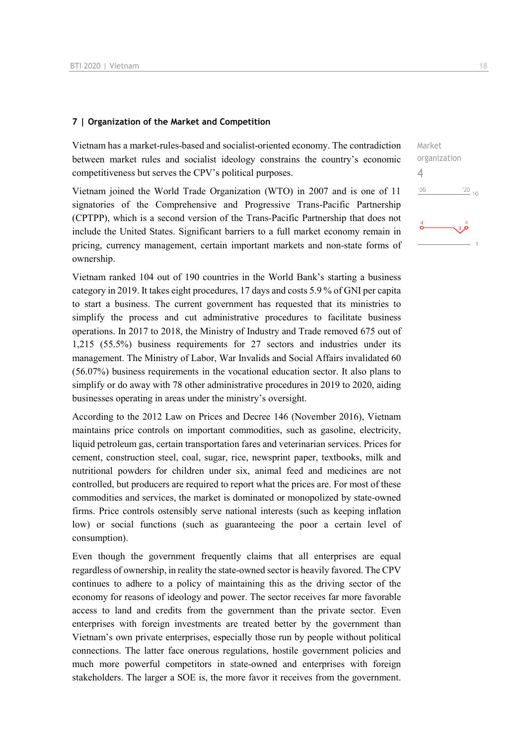#### **7 | Organization of the Market and Competition**

Vietnam has a market-rules-based and socialist-oriented economy. The contradiction between market rules and socialist ideology constrains the country's economic competitiveness but serves the CPV's political purposes.

Vietnam joined the World Trade Organization (WTO) in 2007 and is one of 11 signatories of the Comprehensive and Progressive Trans-Pacific Partnership (CPTPP), which is a second version of the Trans-Pacific Partnership that does not include the United States. Significant barriers to a full market economy remain in pricing, currency management, certain important markets and non-state forms of ownership.

Vietnam ranked 104 out of 190 countries in the World Bank's starting a business category in 2019. It takes eight procedures, 17 days and costs 5.9 % of GNI per capita to start a business. The current government has requested that its ministries to simplify the process and cut administrative procedures to facilitate business operations. In 2017 to 2018, the Ministry of Industry and Trade removed 675 out of 1,215 (55.5%) business requirements for 27 sectors and industries under its management. The Ministry of Labor, War Invalids and Social Affairs invalidated 60 (56.07%) business requirements in the vocational education sector. It also plans to simplify or do away with 78 other administrative procedures in 2019 to 2020, aiding businesses operating in areas under the ministry's oversight.

According to the 2012 Law on Prices and Decree 146 (November 2016), Vietnam maintains price controls on important commodities, such as gasoline, electricity, liquid petroleum gas, certain transportation fares and veterinarian services. Prices for cement, construction steel, coal, sugar, rice, newsprint paper, textbooks, milk and nutritional powders for children under six, animal feed and medicines are not controlled, but producers are required to report what the prices are. For most of these commodities and services, the market is dominated or monopolized by state-owned firms. Price controls ostensibly serve national interests (such as keeping inflation low) or social functions (such as guaranteeing the poor a certain level of consumption).

Even though the government frequently claims that all enterprises are equal regardless of ownership, in reality the state-owned sector is heavily favored. The CPV continues to adhere to a policy of maintaining this as the driving sector of the economy for reasons of ideology and power. The sector receives far more favorable access to land and credits from the government than the private sector. Even enterprises with foreign investments are treated better by the government than Vietnam's own private enterprises, especially those run by people without political connections. The latter face onerous regulations, hostile government policies and much more powerful competitors in state-owned and enterprises with foreign stakeholders. The larger a SOE is, the more favor it receives from the government. Market organization 4 $\frac{20}{10}$  $-06$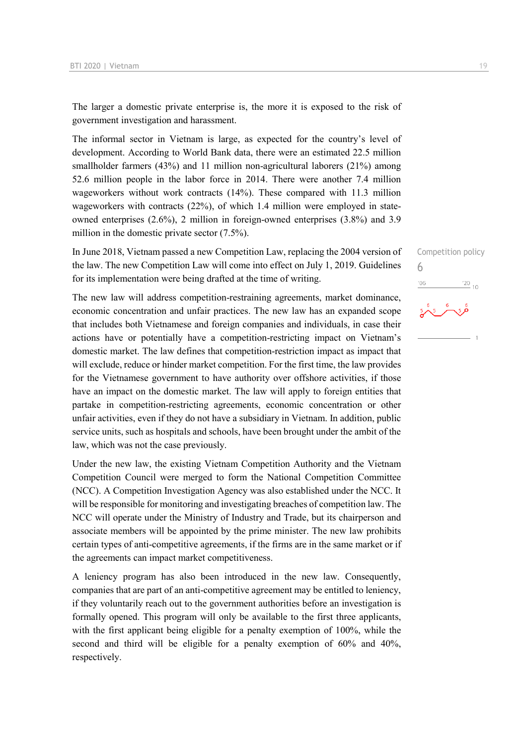The larger a domestic private enterprise is, the more it is exposed to the risk of government investigation and harassment.

The informal sector in Vietnam is large, as expected for the country's level of development. According to World Bank data, there were an estimated 22.5 million smallholder farmers (43%) and 11 million non-agricultural laborers (21%) among 52.6 million people in the labor force in 2014. There were another 7.4 million wageworkers without work contracts (14%). These compared with 11.3 million wageworkers with contracts (22%), of which 1.4 million were employed in stateowned enterprises (2.6%), 2 million in foreign-owned enterprises (3.8%) and 3.9 million in the domestic private sector (7.5%).

In June 2018, Vietnam passed a new Competition Law, replacing the 2004 version of the law. The new Competition Law will come into effect on July 1, 2019. Guidelines for its implementation were being drafted at the time of writing.

The new law will address competition-restraining agreements, market dominance, economic concentration and unfair practices. The new law has an expanded scope that includes both Vietnamese and foreign companies and individuals, in case their actions have or potentially have a competition-restricting impact on Vietnam's domestic market. The law defines that competition-restriction impact as impact that will exclude, reduce or hinder market competition. For the first time, the law provides for the Vietnamese government to have authority over offshore activities, if those have an impact on the domestic market. The law will apply to foreign entities that partake in competition-restricting agreements, economic concentration or other unfair activities, even if they do not have a subsidiary in Vietnam. In addition, public service units, such as hospitals and schools, have been brought under the ambit of the law, which was not the case previously.

Under the new law, the existing Vietnam Competition Authority and the Vietnam Competition Council were merged to form the National Competition Committee (NCC). A Competition Investigation Agency was also established under the NCC. It will be responsible for monitoring and investigating breaches of competition law. The NCC will operate under the Ministry of Industry and Trade, but its chairperson and associate members will be appointed by the prime minister. The new law prohibits certain types of anti-competitive agreements, if the firms are in the same market or if the agreements can impact market competitiveness.

A leniency program has also been introduced in the new law. Consequently, companies that are part of an anti-competitive agreement may be entitled to leniency, if they voluntarily reach out to the government authorities before an investigation is formally opened. This program will only be available to the first three applicants, with the first applicant being eligible for a penalty exemption of 100%, while the second and third will be eligible for a penalty exemption of 60% and 40%, respectively.

Competition policy 6 $\frac{20}{10}$  $^{\prime}06$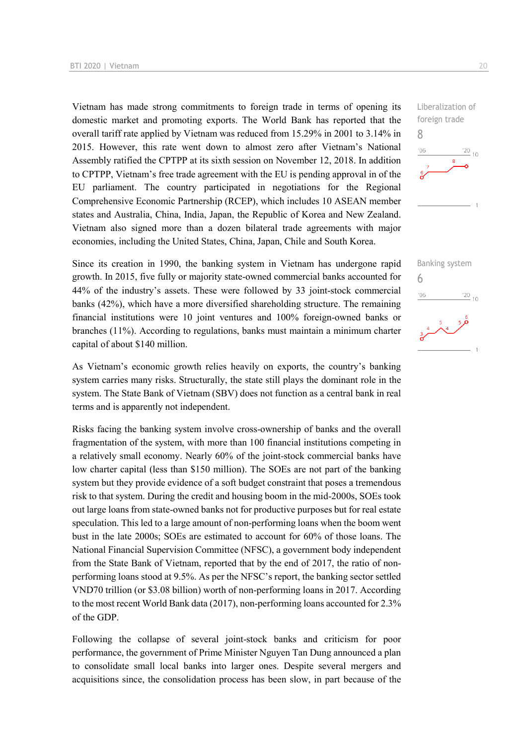Vietnam has made strong commitments to foreign trade in terms of opening its domestic market and promoting exports. The World Bank has reported that the overall tariff rate applied by Vietnam was reduced from 15.29% in 2001 to 3.14% in 2015. However, this rate went down to almost zero after Vietnam's National Assembly ratified the CPTPP at its sixth session on November 12, 2018. In addition to CPTPP, Vietnam's free trade agreement with the EU is pending approval in of the EU parliament. The country participated in negotiations for the Regional Comprehensive Economic Partnership (RCEP), which includes 10 ASEAN member states and Australia, China, India, Japan, the Republic of Korea and New Zealand. Vietnam also signed more than a dozen bilateral trade agreements with major economies, including the United States, China, Japan, Chile and South Korea.

Since its creation in 1990, the banking system in Vietnam has undergone rapid growth. In 2015, five fully or majority state-owned commercial banks accounted for 44% of the industry's assets. These were followed by 33 joint-stock commercial banks (42%), which have a more diversified shareholding structure. The remaining financial institutions were 10 joint ventures and 100% foreign-owned banks or branches (11%). According to regulations, banks must maintain a minimum charter capital of about \$140 million.

As Vietnam's economic growth relies heavily on exports, the country's banking system carries many risks. Structurally, the state still plays the dominant role in the system. The State Bank of Vietnam (SBV) does not function as a central bank in real terms and is apparently not independent.

Risks facing the banking system involve cross-ownership of banks and the overall fragmentation of the system, with more than 100 financial institutions competing in a relatively small economy. Nearly 60% of the joint-stock commercial banks have low charter capital (less than \$150 million). The SOEs are not part of the banking system but they provide evidence of a soft budget constraint that poses a tremendous risk to that system. During the credit and housing boom in the mid-2000s, SOEs took out large loans from state-owned banks not for productive purposes but for real estate speculation. This led to a large amount of non-performing loans when the boom went bust in the late 2000s; SOEs are estimated to account for 60% of those loans. The National Financial Supervision Committee (NFSC), a government body independent from the State Bank of Vietnam, reported that by the end of 2017, the ratio of nonperforming loans stood at 9.5%. As per the NFSC's report, the banking sector settled VND70 trillion (or \$3.08 billion) worth of non-performing loans in 2017. According to the most recent World Bank data (2017), non-performing loans accounted for 2.3% of the GDP.

Following the collapse of several joint-stock banks and criticism for poor performance, the government of Prime Minister Nguyen Tan Dung announced a plan to consolidate small local banks into larger ones. Despite several mergers and acquisitions since, the consolidation process has been slow, in part because of the  $\frac{20}{10}$ 

 $\frac{120}{10}$ 

Liberalization of foreign trade

Banking system

6

 $-06$ 

8

 $06'$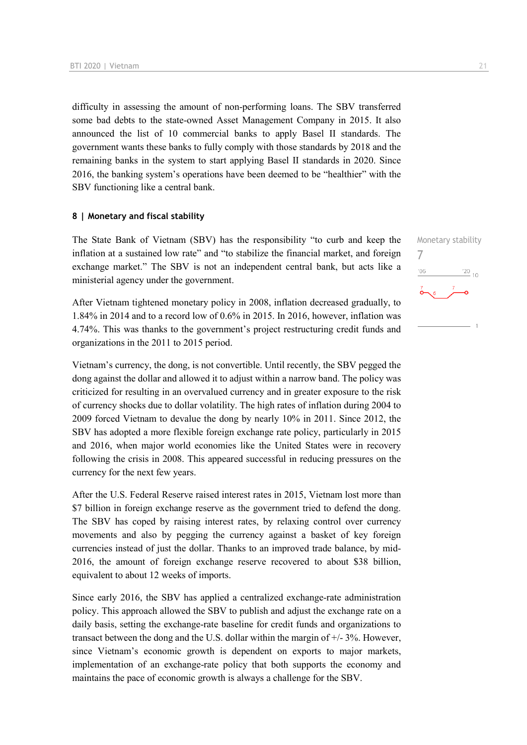difficulty in assessing the amount of non-performing loans. The SBV transferred some bad debts to the state-owned Asset Management Company in 2015. It also announced the list of 10 commercial banks to apply Basel II standards. The government wants these banks to fully comply with those standards by 2018 and the remaining banks in the system to start applying Basel II standards in 2020. Since 2016, the banking system's operations have been deemed to be "healthier" with the SBV functioning like a central bank.

#### **8 | Monetary and fiscal stability**

The State Bank of Vietnam (SBV) has the responsibility "to curb and keep the inflation at a sustained low rate" and "to stabilize the financial market, and foreign exchange market." The SBV is not an independent central bank, but acts like a ministerial agency under the government.

After Vietnam tightened monetary policy in 2008, inflation decreased gradually, to 1.84% in 2014 and to a record low of 0.6% in 2015. In 2016, however, inflation was 4.74%. This was thanks to the government's project restructuring credit funds and organizations in the 2011 to 2015 period.

Vietnam's currency, the dong, is not convertible. Until recently, the SBV pegged the dong against the dollar and allowed it to adjust within a narrow band. The policy was criticized for resulting in an overvalued currency and in greater exposure to the risk of currency shocks due to dollar volatility. The high rates of inflation during 2004 to 2009 forced Vietnam to devalue the dong by nearly 10% in 2011. Since 2012, the SBV has adopted a more flexible foreign exchange rate policy, particularly in 2015 and 2016, when major world economies like the United States were in recovery following the crisis in 2008. This appeared successful in reducing pressures on the currency for the next few years.

After the U.S. Federal Reserve raised interest rates in 2015, Vietnam lost more than \$7 billion in foreign exchange reserve as the government tried to defend the dong. The SBV has coped by raising interest rates, by relaxing control over currency movements and also by pegging the currency against a basket of key foreign currencies instead of just the dollar. Thanks to an improved trade balance, by mid-2016, the amount of foreign exchange reserve recovered to about \$38 billion, equivalent to about 12 weeks of imports.

Since early 2016, the SBV has applied a centralized exchange-rate administration policy. This approach allowed the SBV to publish and adjust the exchange rate on a daily basis, setting the exchange-rate baseline for credit funds and organizations to transact between the dong and the U.S. dollar within the margin of +/- 3%. However, since Vietnam's economic growth is dependent on exports to major markets, implementation of an exchange-rate policy that both supports the economy and maintains the pace of economic growth is always a challenge for the SBV.

Monetary stability 7 $\frac{20}{10}$  $'06$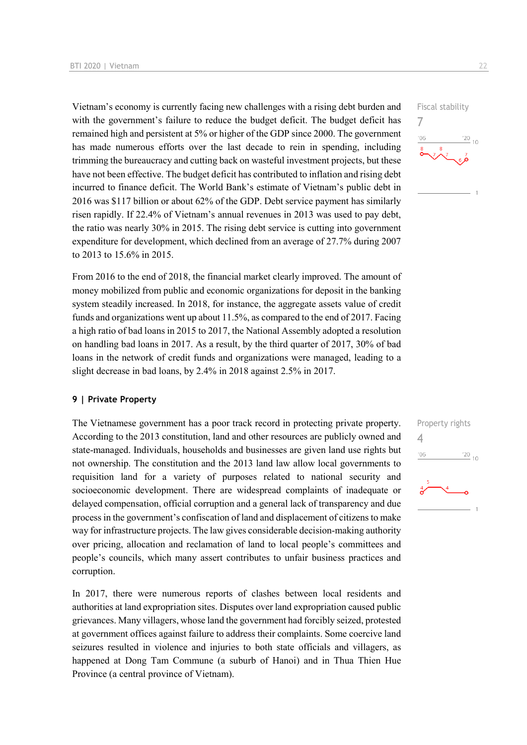Vietnam's economy is currently facing new challenges with a rising debt burden and with the government's failure to reduce the budget deficit. The budget deficit has remained high and persistent at 5% or higher of the GDP since 2000. The government has made numerous efforts over the last decade to rein in spending, including trimming the bureaucracy and cutting back on wasteful investment projects, but these have not been effective. The budget deficit has contributed to inflation and rising debt incurred to finance deficit. The World Bank's estimate of Vietnam's public debt in 2016 was \$117 billion or about 62% of the GDP. Debt service payment has similarly risen rapidly. If 22.4% of Vietnam's annual revenues in 2013 was used to pay debt, the ratio was nearly 30% in 2015. The rising debt service is cutting into government expenditure for development, which declined from an average of 27.7% during 2007 to 2013 to 15.6% in 2015.

From 2016 to the end of 2018, the financial market clearly improved. The amount of money mobilized from public and economic organizations for deposit in the banking system steadily increased. In 2018, for instance, the aggregate assets value of credit funds and organizations went up about 11.5%, as compared to the end of 2017. Facing a high ratio of bad loans in 2015 to 2017, the National Assembly adopted a resolution on handling bad loans in 2017. As a result, by the third quarter of 2017, 30% of bad loans in the network of credit funds and organizations were managed, leading to a slight decrease in bad loans, by 2.4% in 2018 against 2.5% in 2017.

#### **9 | Private Property**

The Vietnamese government has a poor track record in protecting private property. According to the 2013 constitution, land and other resources are publicly owned and state-managed. Individuals, households and businesses are given land use rights but not ownership. The constitution and the 2013 land law allow local governments to requisition land for a variety of purposes related to national security and socioeconomic development. There are widespread complaints of inadequate or delayed compensation, official corruption and a general lack of transparency and due process in the government's confiscation of land and displacement of citizens to make way for infrastructure projects. The law gives considerable decision-making authority over pricing, allocation and reclamation of land to local people's committees and people's councils, which many assert contributes to unfair business practices and corruption.

In 2017, there were numerous reports of clashes between local residents and authorities at land expropriation sites. Disputes over land expropriation caused public grievances. Many villagers, whose land the government had forcibly seized, protested at government offices against failure to address their complaints. Some coercive land seizures resulted in violence and injuries to both state officials and villagers, as happened at Dong Tam Commune (a suburb of Hanoi) and in Thua Thien Hue Province (a central province of Vietnam).



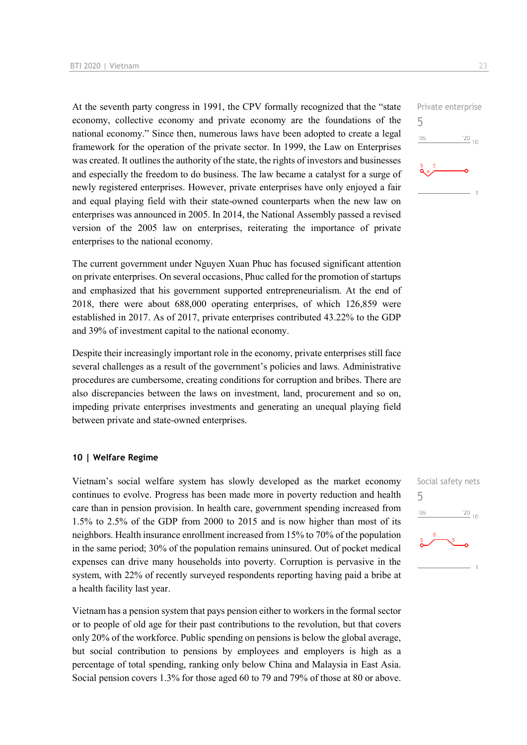At the seventh party congress in 1991, the CPV formally recognized that the "state economy, collective economy and private economy are the foundations of the national economy." Since then, numerous laws have been adopted to create a legal framework for the operation of the private sector. In 1999, the Law on Enterprises was created. It outlines the authority of the state, the rights of investors and businesses and especially the freedom to do business. The law became a catalyst for a surge of newly registered enterprises. However, private enterprises have only enjoyed a fair and equal playing field with their state-owned counterparts when the new law on enterprises was announced in 2005. In 2014, the National Assembly passed a revised version of the 2005 law on enterprises, reiterating the importance of private enterprises to the national economy.

The current government under Nguyen Xuan Phuc has focused significant attention on private enterprises. On several occasions, Phuc called for the promotion of startups and emphasized that his government supported entrepreneurialism. At the end of 2018, there were about 688,000 operating enterprises, of which 126,859 were established in 2017. As of 2017, private enterprises contributed 43.22% to the GDP and 39% of investment capital to the national economy.

Despite their increasingly important role in the economy, private enterprises still face several challenges as a result of the government's policies and laws. Administrative procedures are cumbersome, creating conditions for corruption and bribes. There are also discrepancies between the laws on investment, land, procurement and so on, impeding private enterprises investments and generating an unequal playing field between private and state-owned enterprises.

#### **10 | Welfare Regime**

Vietnam's social welfare system has slowly developed as the market economy continues to evolve. Progress has been made more in poverty reduction and health care than in pension provision. In health care, government spending increased from 1.5% to 2.5% of the GDP from 2000 to 2015 and is now higher than most of its neighbors. Health insurance enrollment increased from 15% to 70% of the population in the same period; 30% of the population remains uninsured. Out of pocket medical expenses can drive many households into poverty. Corruption is pervasive in the system, with 22% of recently surveyed respondents reporting having paid a bribe at a health facility last year.

Vietnam has a pension system that pays pension either to workers in the formal sector or to people of old age for their past contributions to the revolution, but that covers only 20% of the workforce. Public spending on pensions is below the global average, but social contribution to pensions by employees and employers is high as a percentage of total spending, ranking only below China and Malaysia in East Asia. Social pension covers 1.3% for those aged 60 to 79 and 79% of those at 80 or above.



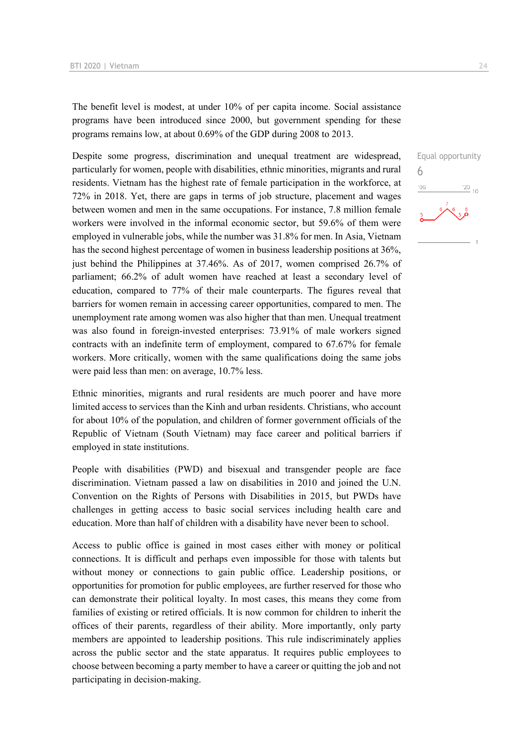The benefit level is modest, at under 10% of per capita income. Social assistance programs have been introduced since 2000, but government spending for these programs remains low, at about 0.69% of the GDP during 2008 to 2013.

Despite some progress, discrimination and unequal treatment are widespread, particularly for women, people with disabilities, ethnic minorities, migrants and rural residents. Vietnam has the highest rate of female participation in the workforce, at 72% in 2018. Yet, there are gaps in terms of job structure, placement and wages between women and men in the same occupations. For instance, 7.8 million female workers were involved in the informal economic sector, but 59.6% of them were employed in vulnerable jobs, while the number was 31.8% for men. In Asia, Vietnam has the second highest percentage of women in business leadership positions at 36%, just behind the Philippines at 37.46%. As of 2017, women comprised 26.7% of parliament; 66.2% of adult women have reached at least a secondary level of education, compared to 77% of their male counterparts. The figures reveal that barriers for women remain in accessing career opportunities, compared to men. The unemployment rate among women was also higher that than men. Unequal treatment was also found in foreign-invested enterprises: 73.91% of male workers signed contracts with an indefinite term of employment, compared to 67.67% for female workers. More critically, women with the same qualifications doing the same jobs were paid less than men: on average, 10.7% less.

Ethnic minorities, migrants and rural residents are much poorer and have more limited access to services than the Kinh and urban residents. Christians, who account for about 10% of the population, and children of former government officials of the Republic of Vietnam (South Vietnam) may face career and political barriers if employed in state institutions.

People with disabilities (PWD) and bisexual and transgender people are face discrimination. Vietnam passed a law on disabilities in 2010 and joined the U.N. Convention on the Rights of Persons with Disabilities in 2015, but PWDs have challenges in getting access to basic social services including health care and education. More than half of children with a disability have never been to school.

Access to public office is gained in most cases either with money or political connections. It is difficult and perhaps even impossible for those with talents but without money or connections to gain public office. Leadership positions, or opportunities for promotion for public employees, are further reserved for those who can demonstrate their political loyalty. In most cases, this means they come from families of existing or retired officials. It is now common for children to inherit the offices of their parents, regardless of their ability. More importantly, only party members are appointed to leadership positions. This rule indiscriminately applies across the public sector and the state apparatus. It requires public employees to choose between becoming a party member to have a career or quitting the job and not participating in decision-making.

Equal opportunity 6 $\frac{20}{10}$  $'06$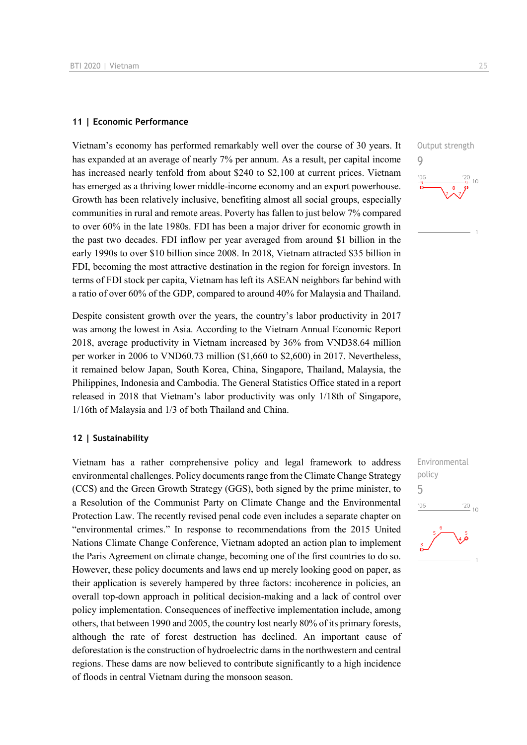#### **11 | Economic Performance**

Vietnam's economy has performed remarkably well over the course of 30 years. It has expanded at an average of nearly 7% per annum. As a result, per capital income has increased nearly tenfold from about \$240 to \$2,100 at current prices. Vietnam has emerged as a thriving lower middle-income economy and an export powerhouse. Growth has been relatively inclusive, benefiting almost all social groups, especially communities in rural and remote areas. Poverty has fallen to just below 7% compared to over 60% in the late 1980s. FDI has been a major driver for economic growth in the past two decades. FDI inflow per year averaged from around \$1 billion in the early 1990s to over \$10 billion since 2008. In 2018, Vietnam attracted \$35 billion in FDI, becoming the most attractive destination in the region for foreign investors. In terms of FDI stock per capita, Vietnam has left its ASEAN neighbors far behind with a ratio of over 60% of the GDP, compared to around 40% for Malaysia and Thailand.

Despite consistent growth over the years, the country's labor productivity in 2017 was among the lowest in Asia. According to the Vietnam Annual Economic Report 2018, average productivity in Vietnam increased by 36% from VND38.64 million per worker in 2006 to VND60.73 million (\$1,660 to \$2,600) in 2017. Nevertheless, it remained below Japan, South Korea, China, Singapore, Thailand, Malaysia, the Philippines, Indonesia and Cambodia. The General Statistics Office stated in a report released in 2018 that Vietnam's labor productivity was only 1/18th of Singapore, 1/16th of Malaysia and 1/3 of both Thailand and China.

#### **12 | Sustainability**

Vietnam has a rather comprehensive policy and legal framework to address environmental challenges. Policy documents range from the Climate Change Strategy (CCS) and the Green Growth Strategy (GGS), both signed by the prime minister, to a Resolution of the Communist Party on Climate Change and the Environmental Protection Law. The recently revised penal code even includes a separate chapter on "environmental crimes." In response to recommendations from the 2015 United Nations Climate Change Conference, Vietnam adopted an action plan to implement the Paris Agreement on climate change, becoming one of the first countries to do so. However, these policy documents and laws end up merely looking good on paper, as their application is severely hampered by three factors: incoherence in policies, an overall top-down approach in political decision-making and a lack of control over policy implementation. Consequences of ineffective implementation include, among others, that between 1990 and 2005, the country lost nearly 80% of its primary forests, although the rate of forest destruction has declined. An important cause of deforestation is the construction of hydroelectric dams in the northwestern and central regions. These dams are now believed to contribute significantly to a high incidence of floods in central Vietnam during the monsoon season.



Environmental policy 5 $06$  $\frac{20}{10}$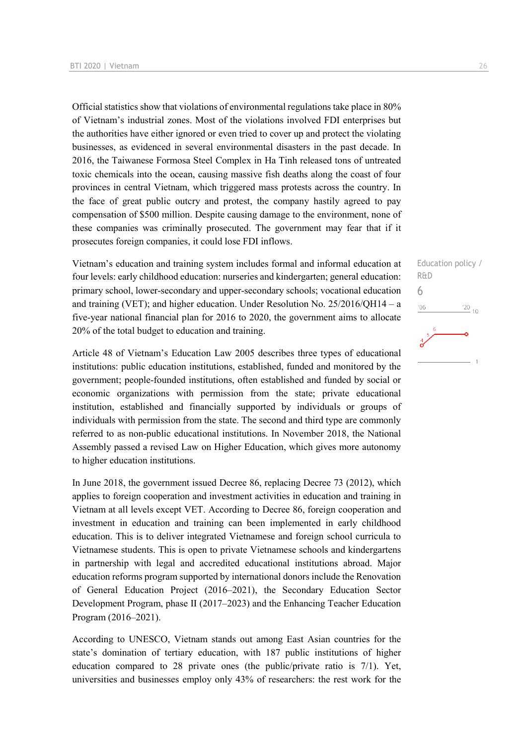Official statistics show that violations of environmental regulations take place in 80% of Vietnam's industrial zones. Most of the violations involved FDI enterprises but the authorities have either ignored or even tried to cover up and protect the violating businesses, as evidenced in several environmental disasters in the past decade. In 2016, the Taiwanese Formosa Steel Complex in Ha Tinh released tons of untreated toxic chemicals into the ocean, causing massive fish deaths along the coast of four provinces in central Vietnam, which triggered mass protests across the country. In the face of great public outcry and protest, the company hastily agreed to pay compensation of \$500 million. Despite causing damage to the environment, none of these companies was criminally prosecuted. The government may fear that if it prosecutes foreign companies, it could lose FDI inflows.

Vietnam's education and training system includes formal and informal education at four levels: early childhood education: nurseries and kindergarten; general education: primary school, lower-secondary and upper-secondary schools; vocational education and training (VET); and higher education. Under Resolution No. 25/2016/QH14 – a five-year national financial plan for 2016 to 2020, the government aims to allocate 20% of the total budget to education and training.

Article 48 of Vietnam's Education Law 2005 describes three types of educational institutions: public education institutions, established, funded and monitored by the government; people-founded institutions, often established and funded by social or economic organizations with permission from the state; private educational institution, established and financially supported by individuals or groups of individuals with permission from the state. The second and third type are commonly referred to as non-public educational institutions. In November 2018, the National Assembly passed a revised Law on Higher Education, which gives more autonomy to higher education institutions.

In June 2018, the government issued Decree 86, replacing Decree 73 (2012), which applies to foreign cooperation and investment activities in education and training in Vietnam at all levels except VET. According to Decree 86, foreign cooperation and investment in education and training can been implemented in early childhood education. This is to deliver integrated Vietnamese and foreign school curricula to Vietnamese students. This is open to private Vietnamese schools and kindergartens in partnership with legal and accredited educational institutions abroad. Major education reforms program supported by international donors include the Renovation of General Education Project (2016–2021), the Secondary Education Sector Development Program, phase II (2017–2023) and the Enhancing Teacher Education Program (2016–2021).

According to UNESCO, Vietnam stands out among East Asian countries for the state's domination of tertiary education, with 187 public institutions of higher education compared to 28 private ones (the public/private ratio is 7/1). Yet, universities and businesses employ only 43% of researchers: the rest work for the Education policy / R&D 6 $06'$  $\frac{20}{10}$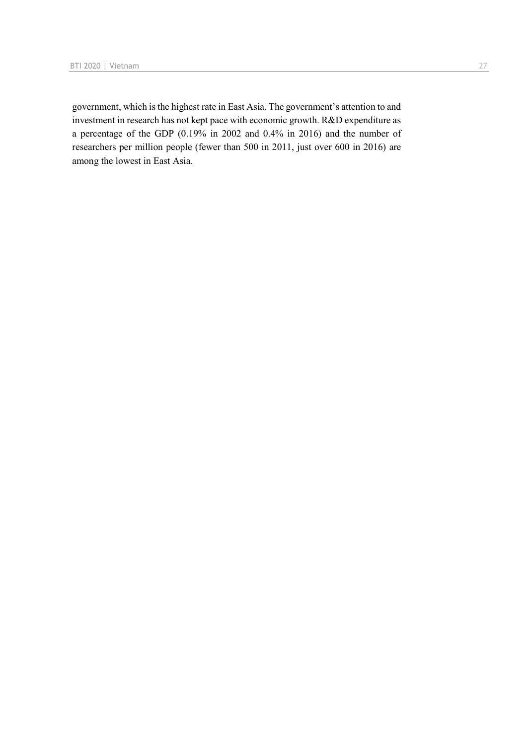government, which is the highest rate in East Asia. The government's attention to and investment in research has not kept pace with economic growth. R&D expenditure as a percentage of the GDP (0.19% in 2002 and 0.4% in 2016) and the number of researchers per million people (fewer than 500 in 2011, just over 600 in 2016) are among the lowest in East Asia.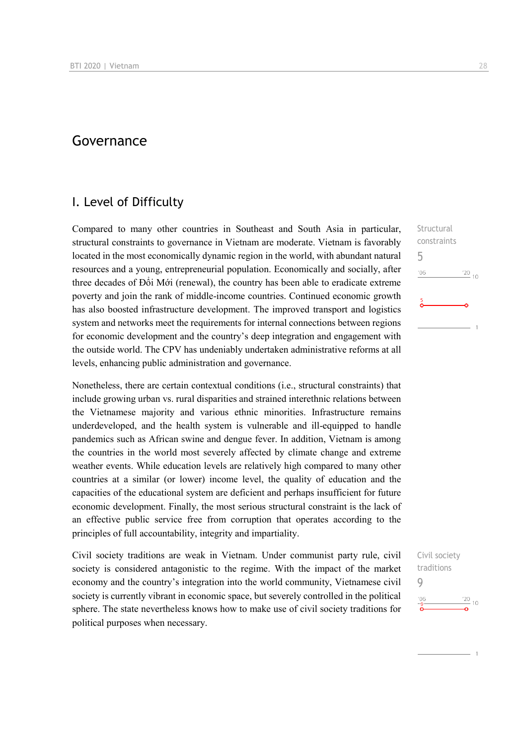## Governance

### I. Level of Difficulty

Compared to many other countries in Southeast and South Asia in particular, structural constraints to governance in Vietnam are moderate. Vietnam is favorably located in the most economically dynamic region in the world, with abundant natural resources and a young, entrepreneurial population. Economically and socially, after three decades of Đổi Mới (renewal), the country has been able to eradicate extreme poverty and join the rank of middle-income countries. Continued economic growth has also boosted infrastructure development. The improved transport and logistics system and networks meet the requirements for internal connections between regions for economic development and the country's deep integration and engagement with the outside world. The CPV has undeniably undertaken administrative reforms at all levels, enhancing public administration and governance.

Nonetheless, there are certain contextual conditions (i.e., structural constraints) that include growing urban vs. rural disparities and strained interethnic relations between the Vietnamese majority and various ethnic minorities. Infrastructure remains underdeveloped, and the health system is vulnerable and ill-equipped to handle pandemics such as African swine and dengue fever. In addition, Vietnam is among the countries in the world most severely affected by climate change and extreme weather events. While education levels are relatively high compared to many other countries at a similar (or lower) income level, the quality of education and the capacities of the educational system are deficient and perhaps insufficient for future economic development. Finally, the most serious structural constraint is the lack of an effective public service free from corruption that operates according to the principles of full accountability, integrity and impartiality.

Civil society traditions are weak in Vietnam. Under communist party rule, civil society is considered antagonistic to the regime. With the impact of the market economy and the country's integration into the world community, Vietnamese civil society is currently vibrant in economic space, but severely controlled in the political sphere. The state nevertheless knows how to make use of civil society traditions for political purposes when necessary.

Structural constraints 5  $\frac{20}{10}$  $106$ 

Civil society traditions 9 $\frac{20}{10}$  10  $06'$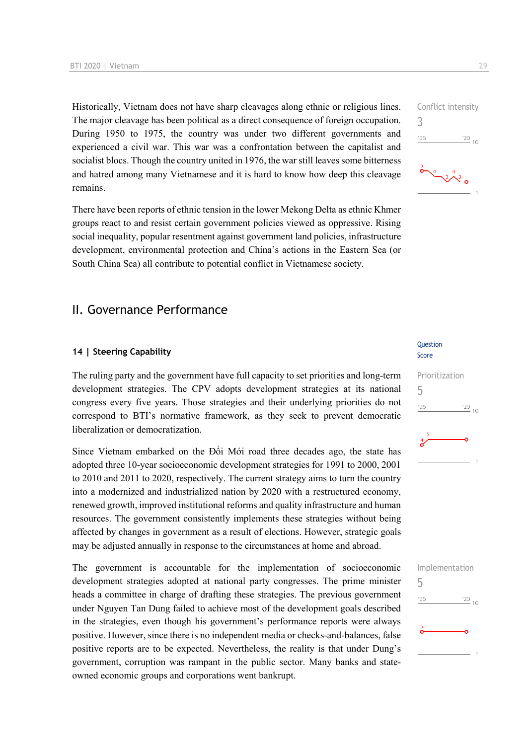Historically, Vietnam does not have sharp cleavages along ethnic or religious lines. The major cleavage has been political as a direct consequence of foreign occupation. During 1950 to 1975, the country was under two different governments and experienced a civil war. This war was a confrontation between the capitalist and socialist blocs. Though the country united in 1976, the war still leaves some bitterness and hatred among many Vietnamese and it is hard to know how deep this cleavage remains.

There have been reports of ethnic tension in the lower Mekong Delta as ethnic Khmer groups react to and resist certain government policies viewed as oppressive. Rising social inequality, popular resentment against government land policies, infrastructure development, environmental protection and China's actions in the Eastern Sea (or South China Sea) all contribute to potential conflict in Vietnamese society.

### II. Governance Performance

#### **14 | Steering Capability**

The ruling party and the government have full capacity to set priorities and long-term development strategies. The CPV adopts development strategies at its national congress every five years. Those strategies and their underlying priorities do not correspond to BTI's normative framework, as they seek to prevent democratic liberalization or democratization.

Since Vietnam embarked on the Đổi Mới road three decades ago, the state has adopted three 10-year socioeconomic development strategies for 1991 to 2000, 2001 to 2010 and 2011 to 2020, respectively. The current strategy aims to turn the country into a modernized and industrialized nation by 2020 with a restructured economy, renewed growth, improved institutional reforms and quality infrastructure and human resources. The government consistently implements these strategies without being affected by changes in government as a result of elections. However, strategic goals may be adjusted annually in response to the circumstances at home and abroad.

The government is accountable for the implementation of socioeconomic development strategies adopted at national party congresses. The prime minister heads a committee in charge of drafting these strategies. The previous government under Nguyen Tan Dung failed to achieve most of the development goals described in the strategies, even though his government's performance reports were always positive. However, since there is no independent media or checks-and-balances, false positive reports are to be expected. Nevertheless, the reality is that under Dung's government, corruption was rampant in the public sector. Many banks and stateowned economic groups and corporations went bankrupt.

#### **Ouestion** Score

| Prioritization |                  |  |  |  |
|----------------|------------------|--|--|--|
| 5              |                  |  |  |  |
| '06            | $\frac{120}{10}$ |  |  |  |
| 5<br>$\sigma$  | 1                |  |  |  |
|                |                  |  |  |  |

| Implementation |             |
|----------------|-------------|
| 5              |             |
| '06            | $^{'}20$ 10 |
|                |             |
| $\frac{5}{2}$  |             |
|                |             |
|                |             |

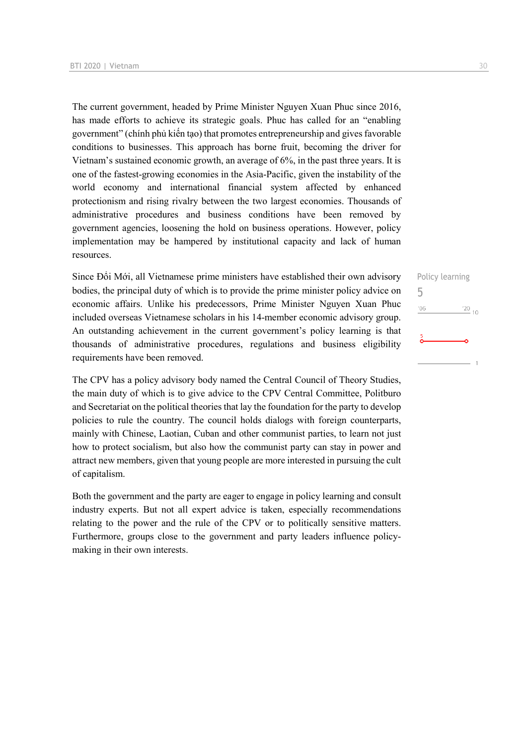The current government, headed by Prime Minister Nguyen Xuan Phuc since 2016, has made efforts to achieve its strategic goals. Phuc has called for an "enabling government" (chính phủ kiến tạo) that promotes entrepreneurship and gives favorable conditions to businesses. This approach has borne fruit, becoming the driver for Vietnam's sustained economic growth, an average of 6%, in the past three years. It is one of the fastest-growing economies in the Asia-Pacific, given the instability of the world economy and international financial system affected by enhanced protectionism and rising rivalry between the two largest economies. Thousands of administrative procedures and business conditions have been removed by government agencies, loosening the hold on business operations. However, policy implementation may be hampered by institutional capacity and lack of human resources.

Since Đổi Mới, all Vietnamese prime ministers have established their own advisory bodies, the principal duty of which is to provide the prime minister policy advice on economic affairs. Unlike his predecessors, Prime Minister Nguyen Xuan Phuc included overseas Vietnamese scholars in his 14-member economic advisory group. An outstanding achievement in the current government's policy learning is that thousands of administrative procedures, regulations and business eligibility requirements have been removed.

The CPV has a policy advisory body named the Central Council of Theory Studies, the main duty of which is to give advice to the CPV Central Committee, Politburo and Secretariat on the political theories that lay the foundation for the party to develop policies to rule the country. The council holds dialogs with foreign counterparts, mainly with Chinese, Laotian, Cuban and other communist parties, to learn not just how to protect socialism, but also how the communist party can stay in power and attract new members, given that young people are more interested in pursuing the cult of capitalism.

Both the government and the party are eager to engage in policy learning and consult industry experts. But not all expert advice is taken, especially recommendations relating to the power and the rule of the CPV or to politically sensitive matters. Furthermore, groups close to the government and party leaders influence policymaking in their own interests.

Policy learning 5 $\frac{20}{10}$  $06'$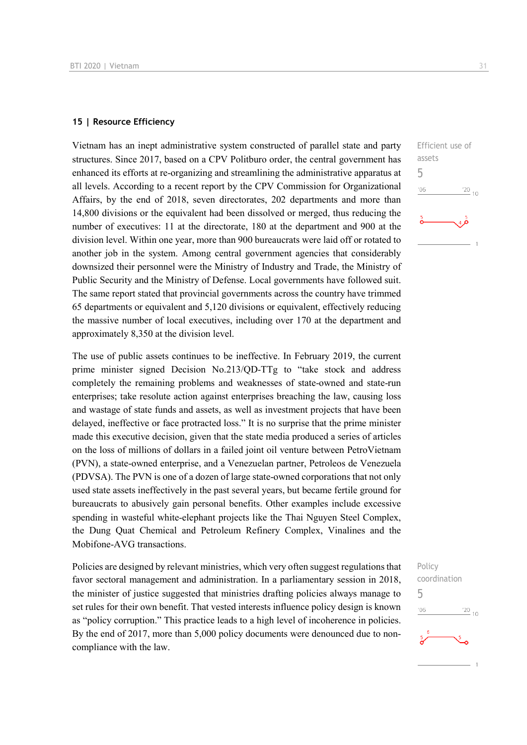#### **15 | Resource Efficiency**

Vietnam has an inept administrative system constructed of parallel state and party structures. Since 2017, based on a CPV Politburo order, the central government has enhanced its efforts at re-organizing and streamlining the administrative apparatus at all levels. According to a recent report by the CPV Commission for Organizational Affairs, by the end of 2018, seven directorates, 202 departments and more than 14,800 divisions or the equivalent had been dissolved or merged, thus reducing the number of executives: 11 at the directorate, 180 at the department and 900 at the division level. Within one year, more than 900 bureaucrats were laid off or rotated to another job in the system. Among central government agencies that considerably downsized their personnel were the Ministry of Industry and Trade, the Ministry of Public Security and the Ministry of Defense. Local governments have followed suit. The same report stated that provincial governments across the country have trimmed 65 departments or equivalent and 5,120 divisions or equivalent, effectively reducing the massive number of local executives, including over 170 at the department and approximately 8,350 at the division level.

The use of public assets continues to be ineffective. In February 2019, the current prime minister signed Decision No.213/QD-TTg to "take stock and address completely the remaining problems and weaknesses of state-owned and state-run enterprises; take resolute action against enterprises breaching the law, causing loss and wastage of state funds and assets, as well as investment projects that have been delayed, ineffective or face protracted loss." It is no surprise that the prime minister made this executive decision, given that the state media produced a series of articles on the loss of millions of dollars in a failed joint oil venture between PetroVietnam (PVN), a state-owned enterprise, and a Venezuelan partner, Petroleos de Venezuela (PDVSA). The PVN is one of a dozen of large state-owned corporations that not only used state assets ineffectively in the past several years, but became fertile ground for bureaucrats to abusively gain personal benefits. Other examples include excessive spending in wasteful white-elephant projects like the Thai Nguyen Steel Complex, the Dung Quat Chemical and Petroleum Refinery Complex, Vinalines and the Mobifone-AVG transactions.

Policies are designed by relevant ministries, which very often suggest regulations that favor sectoral management and administration. In a parliamentary session in 2018, the minister of justice suggested that ministries drafting policies always manage to set rules for their own benefit. That vested interests influence policy design is known as "policy corruption." This practice leads to a high level of incoherence in policies. By the end of 2017, more than 5,000 policy documents were denounced due to noncompliance with the law.



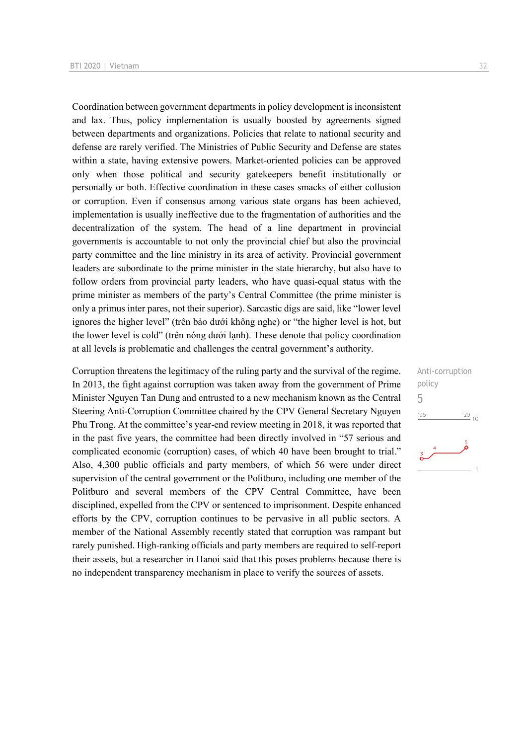Coordination between government departments in policy development is inconsistent and lax. Thus, policy implementation is usually boosted by agreements signed between departments and organizations. Policies that relate to national security and defense are rarely verified. The Ministries of Public Security and Defense are states within a state, having extensive powers. Market-oriented policies can be approved only when those political and security gatekeepers benefit institutionally or personally or both. Effective coordination in these cases smacks of either collusion or corruption. Even if consensus among various state organs has been achieved, implementation is usually ineffective due to the fragmentation of authorities and the decentralization of the system. The head of a line department in provincial governments is accountable to not only the provincial chief but also the provincial party committee and the line ministry in its area of activity. Provincial government leaders are subordinate to the prime minister in the state hierarchy, but also have to follow orders from provincial party leaders, who have quasi-equal status with the prime minister as members of the party's Central Committee (the prime minister is only a primus inter pares, not their superior). Sarcastic digs are said, like "lower level ignores the higher level" (trên bảo dưới không nghe) or "the higher level is hot, but the lower level is cold" (trên nóng dưới lạnh). These denote that policy coordination at all levels is problematic and challenges the central government's authority.

Corruption threatens the legitimacy of the ruling party and the survival of the regime. In 2013, the fight against corruption was taken away from the government of Prime Minister Nguyen Tan Dung and entrusted to a new mechanism known as the Central Steering Anti-Corruption Committee chaired by the CPV General Secretary Nguyen Phu Trong. At the committee's year-end review meeting in 2018, it was reported that in the past five years, the committee had been directly involved in "57 serious and complicated economic (corruption) cases, of which 40 have been brought to trial." Also, 4,300 public officials and party members, of which 56 were under direct supervision of the central government or the Politburo, including one member of the Politburo and several members of the CPV Central Committee, have been disciplined, expelled from the CPV or sentenced to imprisonment. Despite enhanced efforts by the CPV, corruption continues to be pervasive in all public sectors. A member of the National Assembly recently stated that corruption was rampant but rarely punished. High-ranking officials and party members are required to self-report their assets, but a researcher in Hanoi said that this poses problems because there is no independent transparency mechanism in place to verify the sources of assets.

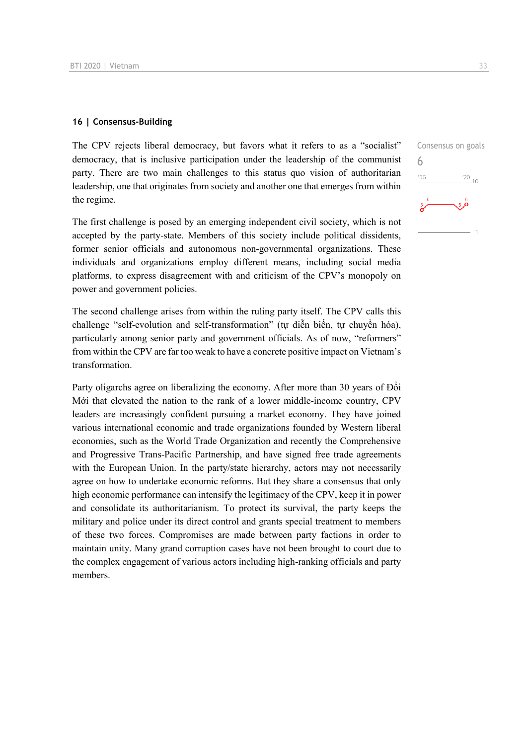#### **16 | Consensus-Building**

The CPV rejects liberal democracy, but favors what it refers to as a "socialist" democracy, that is inclusive participation under the leadership of the communist party. There are two main challenges to this status quo vision of authoritarian leadership, one that originates from society and another one that emerges from within the regime.

The first challenge is posed by an emerging independent civil society, which is not accepted by the party-state. Members of this society include political dissidents, former senior officials and autonomous non-governmental organizations. These individuals and organizations employ different means, including social media platforms, to express disagreement with and criticism of the CPV's monopoly on power and government policies.

The second challenge arises from within the ruling party itself. The CPV calls this challenge "self-evolution and self-transformation" (tự diễn biến, tự chuyển hóa), particularly among senior party and government officials. As of now, "reformers" from within the CPV are far too weak to have a concrete positive impact on Vietnam's transformation.

Party oligarchs agree on liberalizing the economy. After more than 30 years of Đổi Mới that elevated the nation to the rank of a lower middle-income country, CPV leaders are increasingly confident pursuing a market economy. They have joined various international economic and trade organizations founded by Western liberal economies, such as the World Trade Organization and recently the Comprehensive and Progressive Trans-Pacific Partnership, and have signed free trade agreements with the European Union. In the party/state hierarchy, actors may not necessarily agree on how to undertake economic reforms. But they share a consensus that only high economic performance can intensify the legitimacy of the CPV, keep it in power and consolidate its authoritarianism. To protect its survival, the party keeps the military and police under its direct control and grants special treatment to members of these two forces. Compromises are made between party factions in order to maintain unity. Many grand corruption cases have not been brought to court due to the complex engagement of various actors including high-ranking officials and party members.

Consensus on goals 6 $\frac{20}{10}$  $06'$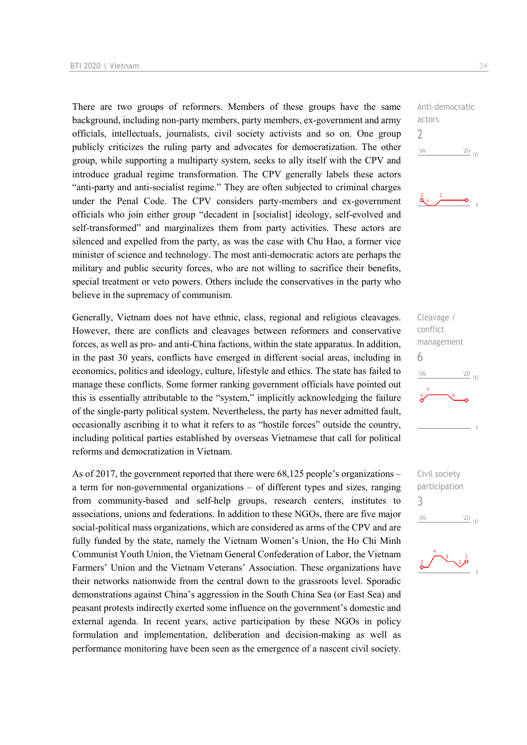There are two groups of reformers. Members of these groups have the same background, including non-party members, party members, ex-government and army officials, intellectuals, journalists, civil society activists and so on. One group publicly criticizes the ruling party and advocates for democratization. The other group, while supporting a multiparty system, seeks to ally itself with the CPV and introduce gradual regime transformation. The CPV generally labels these actors "anti-party and anti-socialist regime." They are often subjected to criminal charges under the Penal Code. The CPV considers party-members and ex-government officials who join either group "decadent in [socialist] ideology, self-evolved and self-transformed" and marginalizes them from party activities. These actors are silenced and expelled from the party, as was the case with Chu Hao, a former vice minister of science and technology. The most anti-democratic actors are perhaps the military and public security forces, who are not willing to sacrifice their benefits, special treatment or veto powers. Others include the conservatives in the party who believe in the supremacy of communism.

Generally, Vietnam does not have ethnic, class, regional and religious cleavages. However, there are conflicts and cleavages between reformers and conservative forces, as well as pro- and anti-China factions, within the state apparatus. In addition, in the past 30 years, conflicts have emerged in different social areas, including in economics, politics and ideology, culture, lifestyle and ethics. The state has failed to manage these conflicts. Some former ranking government officials have pointed out this is essentially attributable to the "system," implicitly acknowledging the failure of the single-party political system. Nevertheless, the party has never admitted fault, occasionally ascribing it to what it refers to as "hostile forces" outside the country, including political parties established by overseas Vietnamese that call for political reforms and democratization in Vietnam.

As of 2017, the government reported that there were 68,125 people's organizations – a term for non-governmental organizations – of different types and sizes, ranging from community-based and self-help groups, research centers, institutes to associations, unions and federations. In addition to these NGOs, there are five major social-political mass organizations, which are considered as arms of the CPV and are fully funded by the state, namely the Vietnam Women's Union, the Ho Chi Minh Communist Youth Union, the Vietnam General Confederation of Labor, the Vietnam Farmers' Union and the Vietnam Veterans' Association. These organizations have their networks nationwide from the central down to the grassroots level. Sporadic demonstrations against China's aggression in the South China Sea (or East Sea) and peasant protests indirectly exerted some influence on the government's domestic and external agenda. In recent years, active participation by these NGOs in policy formulation and implementation, deliberation and decision-making as well as performance monitoring have been seen as the emergence of a nascent civil society.

Anti-democratic actors  $\overline{\phantom{0}}$  $'06$  $\frac{20}{10}$ 



Cleavage / conflict management 6  $\frac{20}{10}$  $-06$ 

Civil society participation 3 $06'$  $\frac{20}{10}$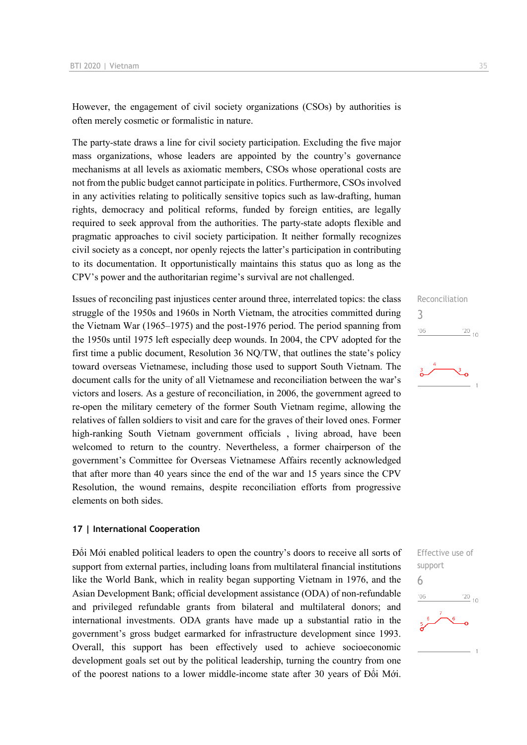However, the engagement of civil society organizations (CSOs) by authorities is often merely cosmetic or formalistic in nature.

The party-state draws a line for civil society participation. Excluding the five major mass organizations, whose leaders are appointed by the country's governance mechanisms at all levels as axiomatic members, CSOs whose operational costs are not from the public budget cannot participate in politics. Furthermore, CSOs involved in any activities relating to politically sensitive topics such as law-drafting, human rights, democracy and political reforms, funded by foreign entities, are legally required to seek approval from the authorities. The party-state adopts flexible and pragmatic approaches to civil society participation. It neither formally recognizes civil society as a concept, nor openly rejects the latter's participation in contributing to its documentation. It opportunistically maintains this status quo as long as the CPV's power and the authoritarian regime's survival are not challenged.

Issues of reconciling past injustices center around three, interrelated topics: the class struggle of the 1950s and 1960s in North Vietnam, the atrocities committed during the Vietnam War (1965–1975) and the post-1976 period. The period spanning from the 1950s until 1975 left especially deep wounds. In 2004, the CPV adopted for the first time a public document, Resolution 36 NQ/TW, that outlines the state's policy toward overseas Vietnamese, including those used to support South Vietnam. The document calls for the unity of all Vietnamese and reconciliation between the war's victors and losers. As a gesture of reconciliation, in 2006, the government agreed to re-open the military cemetery of the former South Vietnam regime, allowing the relatives of fallen soldiers to visit and care for the graves of their loved ones. Former high-ranking South Vietnam government officials , living abroad, have been welcomed to return to the country. Nevertheless, a former chairperson of the government's Committee for Overseas Vietnamese Affairs recently acknowledged that after more than 40 years since the end of the war and 15 years since the CPV Resolution, the wound remains, despite reconciliation efforts from progressive elements on both sides.

#### **17 | International Cooperation**

Đổi Mới enabled political leaders to open the country's doors to receive all sorts of support from external parties, including loans from multilateral financial institutions like the World Bank, which in reality began supporting Vietnam in 1976, and the Asian Development Bank; official development assistance (ODA) of non-refundable and privileged refundable grants from bilateral and multilateral donors; and international investments. ODA grants have made up a substantial ratio in the government's gross budget earmarked for infrastructure development since 1993. Overall, this support has been effectively used to achieve socioeconomic development goals set out by the political leadership, turning the country from one of the poorest nations to a lower middle-income state after 30 years of Đổi Mới.

## Reconciliation 3  $\frac{20}{10}$  10  $'06$

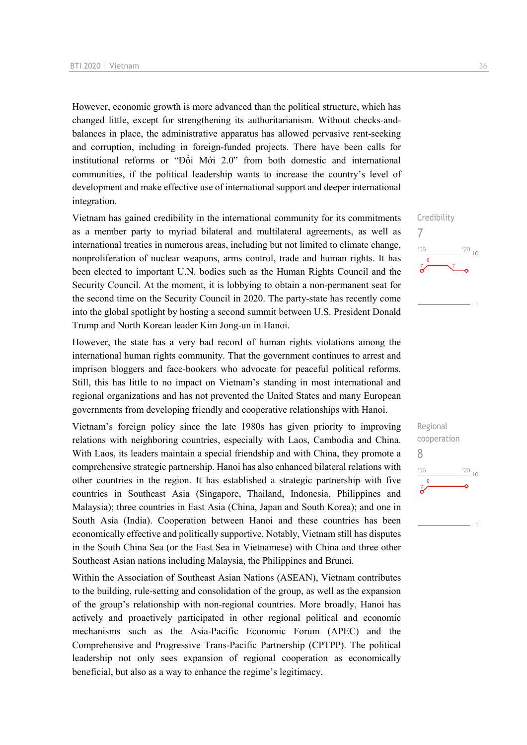However, economic growth is more advanced than the political structure, which has changed little, except for strengthening its authoritarianism. Without checks-andbalances in place, the administrative apparatus has allowed pervasive rent-seeking and corruption, including in foreign-funded projects. There have been calls for institutional reforms or "Đổi Mới 2.0" from both domestic and international communities, if the political leadership wants to increase the country's level of development and make effective use of international support and deeper international integration.

Vietnam has gained credibility in the international community for its commitments as a member party to myriad bilateral and multilateral agreements, as well as international treaties in numerous areas, including but not limited to climate change, nonproliferation of nuclear weapons, arms control, trade and human rights. It has been elected to important U.N. bodies such as the Human Rights Council and the Security Council. At the moment, it is lobbying to obtain a non-permanent seat for the second time on the Security Council in 2020. The party-state has recently come into the global spotlight by hosting a second summit between U.S. President Donald Trump and North Korean leader Kim Jong-un in Hanoi.

However, the state has a very bad record of human rights violations among the international human rights community. That the government continues to arrest and imprison bloggers and face-bookers who advocate for peaceful political reforms. Still, this has little to no impact on Vietnam's standing in most international and regional organizations and has not prevented the United States and many European governments from developing friendly and cooperative relationships with Hanoi.

Vietnam's foreign policy since the late 1980s has given priority to improving relations with neighboring countries, especially with Laos, Cambodia and China. With Laos, its leaders maintain a special friendship and with China, they promote a comprehensive strategic partnership. Hanoi has also enhanced bilateral relations with other countries in the region. It has established a strategic partnership with five countries in Southeast Asia (Singapore, Thailand, Indonesia, Philippines and Malaysia); three countries in East Asia (China, Japan and South Korea); and one in South Asia (India). Cooperation between Hanoi and these countries has been economically effective and politically supportive. Notably, Vietnam still has disputes in the South China Sea (or the East Sea in Vietnamese) with China and three other Southeast Asian nations including Malaysia, the Philippines and Brunei.

Within the Association of Southeast Asian Nations (ASEAN), Vietnam contributes to the building, rule-setting and consolidation of the group, as well as the expansion of the group's relationship with non-regional countries. More broadly, Hanoi has actively and proactively participated in other regional political and economic mechanisms such as the Asia-Pacific Economic Forum (APEC) and the Comprehensive and Progressive Trans-Pacific Partnership (CPTPP). The political leadership not only sees expansion of regional cooperation as economically beneficial, but also as a way to enhance the regime's legitimacy.